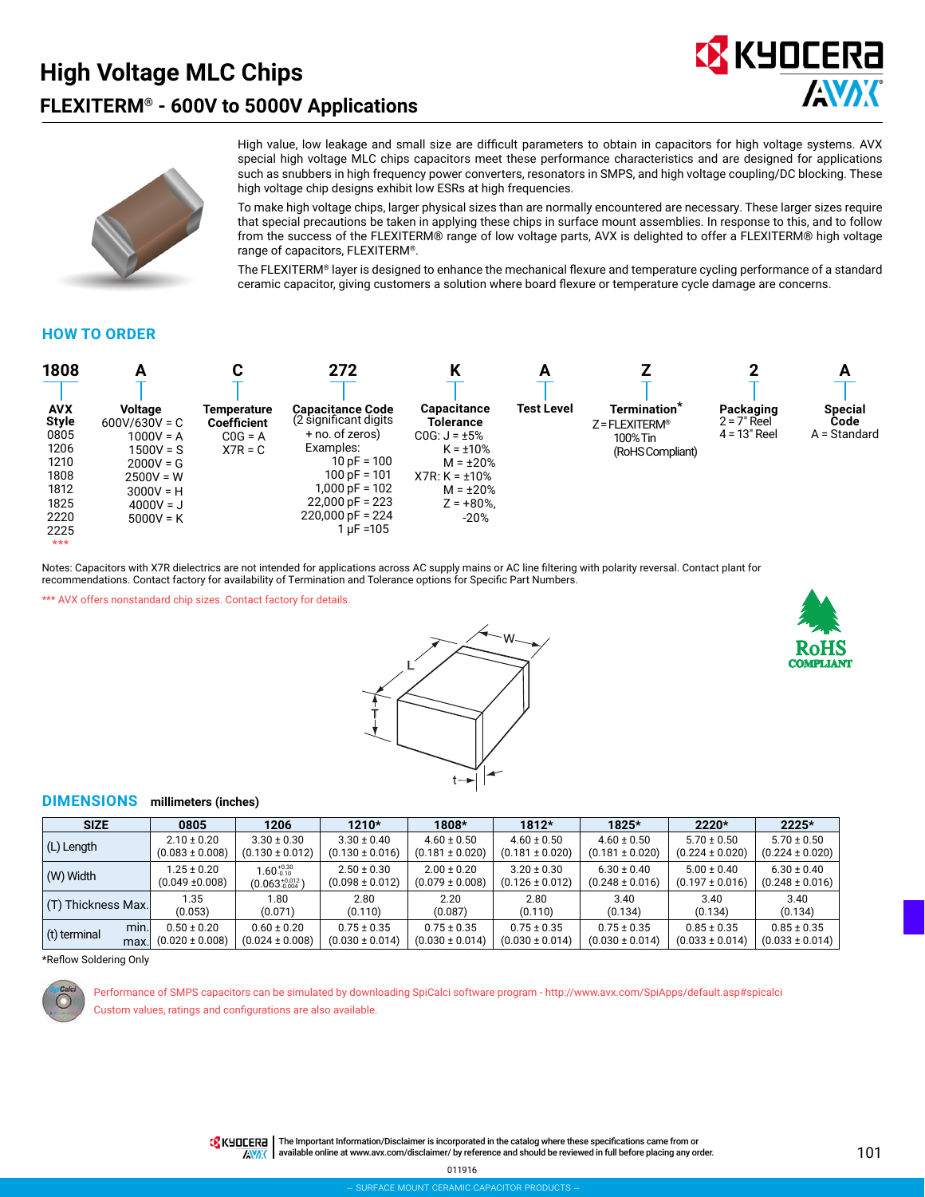# **High Voltage MLC Chips FLEXITERM® - 600V to 5000V Applications**





High value, low leakage and small size are difficult parameters to obtain in capacitors for high voltage systems. AVX special high voltage MLC chips capacitors meet these performance characteristics and are designed for applications such as snubbers in high frequency power converters, resonators in SMPS, and high voltage coupling/DC blocking. These high voltage chip designs exhibit low ESRs at high frequencies.

To make high voltage chips, larger physical sizes than are normally encountered are necessary. These larger sizes require that special precautions be taken in applying these chips in surface mount assemblies. In response to this, and to follow from the success of the FLEXITERM® range of low voltage parts, AVX is delighted to offer a FLEXITERM® high voltage range of capacitors, FLEXITERM®.

The FLEXITERM® layer is designed to enhance the mechanical flexure and temperature cycling performance of a standard ceramic capacitor, giving customers a solution where board flexure or temperature cycle damage are concerns.

#### **HOW TO ORDER**

| 1808                                                                                                | А                                                                                                                                          |                                                             | 272                                                                                                                                                                                        | ı<br>N                                                                                                                                               | A                 |                                                                                          |                                              | A                                      |
|-----------------------------------------------------------------------------------------------------|--------------------------------------------------------------------------------------------------------------------------------------------|-------------------------------------------------------------|--------------------------------------------------------------------------------------------------------------------------------------------------------------------------------------------|------------------------------------------------------------------------------------------------------------------------------------------------------|-------------------|------------------------------------------------------------------------------------------|----------------------------------------------|----------------------------------------|
| <b>AVX</b><br><b>Style</b><br>0805<br>1206<br>1210<br>1808<br>1812<br>1825<br>2220<br>2225<br>$***$ | <b>Voltage</b><br>$600V/630V = C$<br>$1000V = A$<br>$1500V = S$<br>$2000V = G$<br>$2500V = W$<br>$3000V = H$<br>$4000V = J$<br>$5000V = K$ | Temperature<br><b>Coefficient</b><br>$COG = A$<br>$X7R = C$ | Capacitance Code<br>(2 significant digits<br>+ no. of zeros)<br>Examples:<br>$10 pF = 100$<br>$100 pF = 101$<br>$1,000$ pF = $102$<br>$22,000$ pF = 223<br>$220,000$ pF = 224<br>1 uF =105 | Capacitance<br>Tolerance<br>$COG: J = \pm 5\%$<br>$K = \pm 10\%$<br>$M = \pm 20\%$<br>$X7R: K = \pm 10\%$<br>$M = \pm 20\%$<br>$Z = +80\%$<br>$-20%$ | <b>Test Level</b> | Termination <sup>*</sup><br>$Z = FLEXITERM$ <sup>®</sup><br>100% Tin<br>(RoHS Compliant) | Packaging<br>$2 = 7"$ Reel<br>$4 = 13"$ Reel | <b>Special</b><br>Code<br>A = Standard |

Notes: Capacitors with X7R dielectrics are not intended for applications across AC supply mains or AC line filtering with polarity reversal. Contact plant for recommendations. Contact factory for availability of Termination and Tolerance options for Specific Part Numbers.

\*\*\* AVX offers nonstandard chip sizes. Contact factory for details.





#### **DIMENSIONS millimeters (inches)**

| <b>SIZE</b>                  | 0805                                   | 1206                                   | 1210*                                  | 1808*                                  | $1812*$                                | 1825*                                  | $2220*$                                | $2225*$                                |
|------------------------------|----------------------------------------|----------------------------------------|----------------------------------------|----------------------------------------|----------------------------------------|----------------------------------------|----------------------------------------|----------------------------------------|
| (L) Length                   | $2.10 \pm 0.20$                        | $3.30 \pm 0.30$                        | $3.30 \pm 0.40$                        | $4.60 \pm 0.50$                        | $4.60 \pm 0.50$                        | $4.60 \pm 0.50$                        | $5.70 \pm 0.50$                        | $5.70 \pm 0.50$                        |
|                              | $(0.083 \pm 0.008)$                    | $(0.130 \pm 0.012)$                    | $(0.130 \pm 0.016)$                    | $(0.181 \pm 0.020)$                    | $(0.181 \pm 0.020)$                    | $(0.181 \pm 0.020)$                    | $(0.224 \pm 0.020)$                    | $(0.224 \pm 0.020)$                    |
| (W) Width                    | $1.25 \pm 0.20$                        | $1.60_{-0.10}^{+0.30}$                 | $2.50 \pm 0.30$                        | $2.00 \pm 0.20$                        | $3.20 \pm 0.30$                        | $6.30 \pm 0.40$                        | $5.00 \pm 0.40$                        | $6.30 \pm 0.40$                        |
|                              | $(0.049 \pm 0.008)$                    | $(0.063_{-0.004}^{+0.012})$            | $(0.098 \pm 0.012)$                    | $(0.079 \pm 0.008)$                    | $(0.126 \pm 0.012)$                    | $(0.248 \pm 0.016)$                    | $(0.197 \pm 0.016)$                    | $(0.248 \pm 0.016)$                    |
| (T) Thickness Max.           | 1.35                                   | 1.80                                   | 2.80                                   | 2.20                                   | 2.80                                   | 3.40                                   | 3.40                                   | 3.40                                   |
|                              | (0.053)                                | (0.071)                                | (0.110)                                | (0.087)                                | (0.110)                                | (0.134)                                | (0.134)                                | (0.134)                                |
| min.<br>(t) terminal<br>max. | $0.50 \pm 0.20$<br>$(0.020 \pm 0.008)$ | $0.60 \pm 0.20$<br>$(0.024 \pm 0.008)$ | $0.75 \pm 0.35$<br>$(0.030 \pm 0.014)$ | $0.75 \pm 0.35$<br>$(0.030 \pm 0.014)$ | $0.75 \pm 0.35$<br>$(0.030 \pm 0.014)$ | $0.75 \pm 0.35$<br>$(0.030 \pm 0.014)$ | $0.85 \pm 0.35$<br>$(0.033 \pm 0.014)$ | $0.85 \pm 0.35$<br>$(0.033 \pm 0.014)$ |

\*Reflow Soldering Only



Performance of SMPS capacitors can be simulated by downloading SpiCalci software program - http://www.avx.com/SpiApps/default.asp#spicalci Custom values, ratings and configurations are also available.

**ANAK** 

TR KHOLERA | The Important Information/Disclaimer is incorporated in the catalog where these specifications came from or available online at [www.avx.com/disclaimer/](http://www.avx.com/disclaimer/) by reference and should be reviewed in full before placing any order.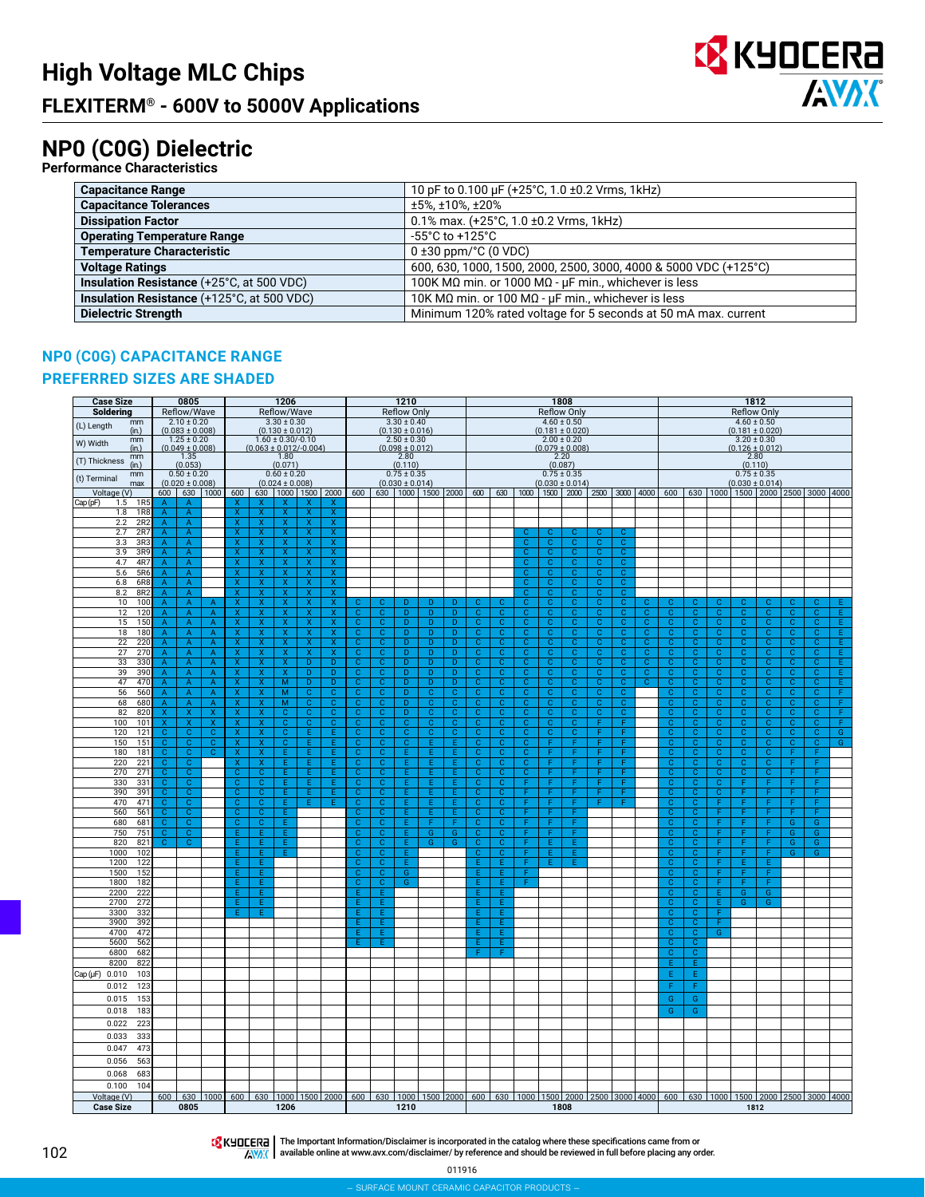

## **NP0 (C0G) Dielectric**

| <b>Performance Characteristics</b>         |                                                                  |
|--------------------------------------------|------------------------------------------------------------------|
| <b>Capacitance Range</b>                   | 10 pF to 0.100 µF (+25°C, 1.0 ±0.2 Vrms, 1kHz)                   |
| <b>Capacitance Tolerances</b>              | ±5%, ±10%, ±20%                                                  |
| <b>Dissipation Factor</b>                  | 0.1% max. $(+25^{\circ}C, 1.0 \pm 0.2$ Vrms, 1kHz)               |
| <b>Operating Temperature Range</b>         | $-55^{\circ}$ C to $+125^{\circ}$ C                              |
| <b>Temperature Characteristic</b>          | $0 \pm 30$ ppm/ $\degree$ C (0 VDC)                              |
| <b>Voltage Ratings</b>                     | 600, 630, 1000, 1500, 2000, 2500, 3000, 4000 & 5000 VDC (+125°C) |
| Insulation Resistance (+25°C, at 500 VDC)  | 100K MQ min. or 1000 MQ - $\mu$ F min., whichever is less        |
| Insulation Resistance (+125°C, at 500 VDC) | 10K MQ min. or 100 MQ - $\mu$ F min., whichever is less          |
| <b>Dielectric Strength</b>                 | Minimum 120% rated voltage for 5 seconds at 50 mA max. current   |

#### **NP0 (C0G) CAPACITANCE RANGE**

#### **PREFERRED SIZES ARE SHADED**

| <b>Case Size</b>                     |                                           | 0805                                                                                                                                    |                                  |                                                    |                                                    | 1206                                      |                                                    |                                                    |                                  |                                                    | 1210                                   |                                  |                               |                                  |                                           |                                  |                                  | 1808                                   |                                                                                                     |                                  |                                |                                  |                                                    |                                  |                                        | 1812                           |                                  |                                  |                     |
|--------------------------------------|-------------------------------------------|-----------------------------------------------------------------------------------------------------------------------------------------|----------------------------------|----------------------------------------------------|----------------------------------------------------|-------------------------------------------|----------------------------------------------------|----------------------------------------------------|----------------------------------|----------------------------------------------------|----------------------------------------|----------------------------------|-------------------------------|----------------------------------|-------------------------------------------|----------------------------------|----------------------------------|----------------------------------------|-----------------------------------------------------------------------------------------------------|----------------------------------|--------------------------------|----------------------------------|----------------------------------------------------|----------------------------------|----------------------------------------|--------------------------------|----------------------------------|----------------------------------|---------------------|
| Soldering                            |                                           | Reflow/Wave                                                                                                                             |                                  |                                                    |                                                    | Reflow/Wave                               |                                                    |                                                    |                                  |                                                    | <b>Reflow Only</b>                     |                                  |                               |                                  |                                           |                                  |                                  | <b>Reflow Only</b>                     |                                                                                                     |                                  |                                |                                  |                                                    |                                  | <b>Reflow Only</b>                     |                                |                                  |                                  |                     |
| mm<br>(L) Length<br>(in.)            |                                           | $2.10 \pm 0.20$<br>$(0.083 \pm 0.008)$                                                                                                  |                                  |                                                    |                                                    | $3.30 \pm 0.30$<br>$(0.130 \pm 0.012)$    |                                                    |                                                    |                                  |                                                    | $3.30 \pm 0.40$<br>$(0.130 \pm 0.016)$ |                                  |                               |                                  |                                           |                                  |                                  | $4.60 \pm 0.50$<br>$(0.181 \pm 0.020)$ |                                                                                                     |                                  |                                |                                  |                                                    |                                  | $4.60 \pm 0.50$<br>$(0.181 \pm 0.020)$ |                                |                                  |                                  |                     |
| mm<br>W) Width<br>(in.)              |                                           | $1.25 \pm 0.20$<br>$(0.049 \pm 0.008)$                                                                                                  |                                  |                                                    |                                                    | $1.60 \pm 0.30/-0.10$                     | $(0.063 \pm 0.012/-0.004)$                         |                                                    |                                  |                                                    | $2.50 \pm 0.30$<br>$(0.098 \pm 0.012)$ |                                  |                               |                                  |                                           |                                  |                                  | $2.00 \pm 0.20$<br>$(0.079 \pm 0.008)$ |                                                                                                     |                                  |                                |                                  |                                                    |                                  | $(0.126 \pm 0.012)$                    | $3.20 \pm 0.30$                |                                  |                                  |                     |
| mm<br>(T) Thickness<br>(in.)         |                                           | 1.35<br>(0.053)                                                                                                                         |                                  |                                                    |                                                    | 1.80<br>(0.071)                           |                                                    |                                                    |                                  |                                                    | 2.80<br>(0.110)                        |                                  |                               |                                  |                                           |                                  |                                  | 2.20<br>(0.087)                        |                                                                                                     |                                  |                                |                                  |                                                    |                                  | 2.80<br>(0.110)                        |                                |                                  |                                  |                     |
| mm<br>(t) Terminal<br>max            |                                           | $0.50 \pm 0.20$<br>$(0.020 \pm 0.008)$                                                                                                  |                                  |                                                    |                                                    | $0.60 \pm 0.20$<br>$(0.024 \pm 0.008)$    |                                                    |                                                    |                                  |                                                    | $0.75 \pm 0.35$<br>$(0.030 \pm 0.014)$ |                                  |                               |                                  |                                           |                                  |                                  | $0.75 \pm 0.35$<br>$(0.030 \pm 0.014)$ |                                                                                                     |                                  |                                |                                  |                                                    |                                  | $0.75 \pm 0.35$<br>$(0.030 \pm 0.014)$ |                                |                                  |                                  |                     |
| Voltage (V)                          |                                           | 600 630 1000                                                                                                                            |                                  | 600                                                |                                                    |                                           | 630   1000   1500   2000                           |                                                    | 600                              |                                                    |                                        |                                  |                               | 630 1000 1500 2000 600           |                                           |                                  |                                  |                                        | 630   1000   1500   2000   2500   3000   4000   600   630   1000   1500   2000   2500   3000   4000 |                                  |                                |                                  |                                                    |                                  |                                        |                                |                                  |                                  |                     |
| Cap (pF)<br>1.5<br>1R<br>1.8<br>1R   | A                                         | $\overline{A}$<br>A                                                                                                                     |                                  | x                                                  | X                                                  | x                                         | x                                                  | x<br>x                                             |                                  |                                                    |                                        |                                  |                               |                                  |                                           |                                  |                                  |                                        |                                                                                                     |                                  |                                |                                  |                                                    |                                  |                                        |                                |                                  |                                  |                     |
| 2R2<br>2.2                           | $\mathsf{A}$                              | $\overline{A}$                                                                                                                          |                                  | X                                                  | $\mathsf{X}$                                       | $\mathsf{x}$                              | X                                                  | X.                                                 |                                  |                                                    |                                        |                                  |                               |                                  |                                           |                                  |                                  |                                        |                                                                                                     |                                  |                                |                                  |                                                    |                                  |                                        |                                |                                  |                                  |                     |
| 2.7<br>2R                            | A                                         | A                                                                                                                                       |                                  | Ÿ                                                  | $\mathbf x$                                        | x                                         | x                                                  | x                                                  |                                  |                                                    |                                        |                                  |                               |                                  |                                           | c                                |                                  | C                                      | C                                                                                                   |                                  |                                |                                  |                                                    |                                  |                                        |                                |                                  |                                  |                     |
| 3.3<br>3R <sub>3</sub><br>3.9<br>3R9 | $\overline{A}$<br>A                       | A<br>A                                                                                                                                  |                                  | $\overline{\mathbf{x}}$<br>X                       | $\overline{\mathsf{x}}$<br>$\overline{\mathsf{x}}$ | $\overline{\mathbf{x}}$<br>X              | $\overline{\mathbf{x}}$<br>$\overline{\mathsf{x}}$ | $\overline{\mathsf{x}}$<br>$\overline{\mathsf{x}}$ |                                  |                                                    |                                        |                                  |                               |                                  |                                           | $\overline{c}$<br>$\overline{c}$ | $\overline{C}$<br>$\overline{c}$ | $\overline{c}$<br>$\overline{c}$       | $\overline{c}$<br>$\overline{c}$                                                                    | $\overline{c}$<br>$\overline{c}$ |                                |                                  |                                                    |                                  |                                        |                                |                                  |                                  |                     |
| 4.7<br>4R7                           | A                                         | A                                                                                                                                       |                                  | x                                                  | $\overline{\mathsf{x}}$                            | X                                         | X                                                  | $\overline{\mathsf{x}}$                            |                                  |                                                    |                                        |                                  |                               |                                  |                                           | $\overline{\mathbf{c}}$          | $\mathbf C$                      | $\overline{c}$                         | C                                                                                                   | $\overline{\mathsf{c}}$          |                                |                                  |                                                    |                                  |                                        |                                |                                  |                                  |                     |
| 5.6<br>5R6                           | A                                         | A                                                                                                                                       |                                  | x                                                  | X                                                  | x                                         | Χ                                                  | Χ                                                  |                                  |                                                    |                                        |                                  |                               |                                  |                                           | c                                | c                                | c                                      | С                                                                                                   | $\overline{c}$                   |                                |                                  |                                                    |                                  |                                        |                                |                                  |                                  |                     |
| 6R8<br>6.8                           | A                                         | A                                                                                                                                       |                                  | x                                                  | X                                                  | x                                         | X                                                  | X                                                  |                                  |                                                    |                                        |                                  |                               |                                  |                                           | $\mathbf C$                      | $\mathbf C$                      | $\mathbf{C}$                           | $\mathbf{C}$                                                                                        | $\mathbf{C}$                     |                                |                                  |                                                    |                                  |                                        |                                |                                  |                                  |                     |
| 8.2<br>8R2<br>10<br>100              | A<br>A                                    | $\mathsf{A}% _{\mathsf{A}}^{\prime}=\mathsf{A}_{\mathsf{A}}^{\prime}$<br>A                                                              | А                                | X<br>x                                             | x<br>X                                             | X<br>х                                    | X<br>X                                             | X<br>X                                             |                                  |                                                    | D                                      | D                                | D                             |                                  | c                                         | $\mathbf{C}$<br>c                | C<br>c                           | $\mathbf C$<br>C                       | $\mathbf C$<br>C                                                                                    | $\overline{\mathbf{C}}$<br>C     | с                              | C                                |                                                    | c                                | C                                      | С                              | c                                |                                  |                     |
| 120<br>12                            | A                                         | Α                                                                                                                                       | A                                | х                                                  | X                                                  | X                                         | X                                                  | χ                                                  | C                                | C                                                  | D                                      | D                                | D                             | c                                | С                                         | C                                | с                                | c                                      | $\mathbb C$                                                                                         | c                                | c                              | с                                | C                                                  | C                                | с                                      | с                              | $\mathbf C$                      | с                                | Ε                   |
| 150<br>15                            | A                                         | A                                                                                                                                       | A                                | х                                                  | х                                                  | х                                         | X                                                  | x                                                  | C                                | C                                                  | D                                      | D                                | D                             | c                                | c                                         | $\overline{c}$                   | C.                               | C                                      | $\overline{c}$                                                                                      | c                                | c                              | c                                | С                                                  | c                                | c                                      | с                              | c                                | c                                | Έ                   |
| 180<br>18                            | A                                         | A                                                                                                                                       | A                                | x                                                  | X                                                  | X                                         | х                                                  | X.                                                 | C                                | c                                                  | D.                                     | D                                | D                             | c                                | C                                         | c                                | C.                               | C                                      | c                                                                                                   | c                                | c                              | C                                | с                                                  | C.                               | c                                      | c                              | c                                | C                                | E.                  |
| 22<br>220<br>27<br>270               | A<br>A                                    | A<br>$\overline{A}$                                                                                                                     | A<br>A                           | x<br>x                                             | X<br>$\overline{\mathsf{x}}$                       | x<br>$\overline{\mathsf{x}}$              | x<br>X                                             | x<br>$\overline{\mathsf{x}}$                       | $\mathbf C$<br>$\overline{c}$    | c<br>$\overline{c}$                                | D.<br>D                                | D<br>$\overline{D}$              | D<br>$\overline{D}$           | $\mathbf{C}$<br>$\overline{c}$   | $\mathbf C$<br>$\overline{c}$             | $\mathbf C$<br>$\overline{c}$    | с<br>$\overline{c}$              | $\mathbf{C}$<br>$\overline{c}$         | $\mathbf{C}$<br>$\overline{c}$                                                                      | c<br>$\overline{c}$              | $\mathbf{C}$<br>$\overline{c}$ | c<br>$\overline{c}$              | C<br>$\overline{c}$                                | $\mathbf{C}$<br>$\overline{c}$   | $\mathbf{C}$<br>$\overline{c}$         | C<br>$\overline{c}$            | $\mathbf{C}$<br>$\overline{c}$   | C<br>$\overline{c}$              | E<br>Ε              |
| 33<br>330                            | $\overline{A}$                            | $\overline{A}$                                                                                                                          | A                                | X.                                                 | $\overline{\mathsf{x}}$                            | X                                         | D                                                  | $\overline{D}$                                     | $\overline{c}$                   | $\mathbf{C}$                                       | $\overline{D}$                         | $\overline{D}$                   | D                             | $\overline{c}$                   | $\overline{c}$                            | $\overline{c}$                   | $\overline{c}$                   | $\overline{c}$                         | $\overline{c}$                                                                                      | $\overline{c}$                   | $\overline{c}$                 | $\overline{c}$                   | $\mathbf{C}$                                       | $\overline{c}$                   | $\overline{c}$                         | $\mathbf{C}$                   | $\overline{c}$                   | $\mathbf{C}$                     | Έ                   |
| 39<br>390                            |                                           | $\overline{\mathsf{A}}$                                                                                                                 | $\overline{A}$                   | $\overline{\mathbf{x}}$                            | $\overline{\mathbf{x}}$                            | $\overline{\mathbf{x}}$                   | $\overline{D}$                                     | $\overline{D}$                                     | $\overline{c}$                   | $\overline{c}$                                     | $\overline{\mathsf{D}}$                | $\overline{D}$                   | $\overline{D}$                | $\overline{c}$                   | $\overline{c}$                            | $\overline{c}$                   | $\overline{c}$                   | $\overline{c}$                         | $\overline{c}$                                                                                      | $\overline{c}$                   | $\overline{c}$                 | $\overline{c}$                   | $\overline{c}$                                     | $\overline{\mathbf{c}}$          | $\overline{c}$                         | $\overline{c}$                 | $\overline{c}$                   | $\overline{c}$                   | Έ                   |
| 470<br>47<br>56<br>560               | $\overline{\mathsf{A}}$<br>A              | Ā<br>$\overline{A}$                                                                                                                     | $\overline{A}$<br>$\overline{A}$ | $\overline{\mathsf{x}}$<br>X                       | $\overline{\mathsf{x}}$<br>$\overline{\mathsf{x}}$ | $\overline{M}$<br>$\overline{\mathsf{M}}$ | $\overline{D}$<br>$\mathbf C$                      | D<br>$\overline{c}$                                | $\overline{c}$<br>$\overline{c}$ | $\overline{c}$<br>$\mathbf{C}$                     | D<br>$\overline{D}$                    | $\overline{D}$<br>$\overline{c}$ | $\overline{D}$<br>$\mathbf C$ | $\overline{c}$<br>$\overline{c}$ | $\overline{c}$<br>$\overline{c}$          | $\overline{c}$<br>$\overline{c}$ | $\overline{c}$<br>$\overline{c}$ | $\overline{c}$<br>$\overline{c}$       | $\overline{c}$<br>$\overline{c}$                                                                    | $\overline{c}$<br>$\overline{c}$ | $\overline{c}$                 | $\overline{c}$<br>$\overline{c}$ | $\overline{c}$<br>$\overline{c}$                   | $\overline{c}$<br>$\overline{c}$ | $\overline{c}$<br>$\overline{c}$       | $\overline{c}$<br>$\mathbf{C}$ | $\overline{c}$<br>$\overline{c}$ | $\overline{c}$<br>$\overline{c}$ | Ε<br>$\overline{F}$ |
| 68<br>680                            | A                                         | A                                                                                                                                       | A                                | x                                                  | $\overline{\mathsf{x}}$                            | M                                         | C                                                  | $\overline{\mathbf{c}}$                            | C                                | C                                                  | $\overline{\mathsf{D}}$                | C                                | c                             | c.                               | с                                         | c                                | C                                | C                                      | c                                                                                                   | $\overline{\mathrm{c}}$          |                                | $\mathcal{C}$                    | $\mathcal{C}$                                      | $\overline{\mathbf{c}}$          | c                                      | C                              | C                                | Ċ                                | Ŧ                   |
| 82<br>820                            | x                                         | X                                                                                                                                       | х                                | x                                                  | X                                                  | с                                         | c                                                  | $\overline{\mathbf{c}}$                            | С                                | с                                                  | D                                      | с                                | c                             | с                                | с                                         | с                                | c                                | c                                      | с                                                                                                   | С                                |                                | C                                | Ċ                                                  | c                                | с                                      | с                              | c                                | с                                | F                   |
| 101<br>100                           | X                                         | $\mathsf{x}$                                                                                                                            | X                                | x                                                  | $\mathsf{x}$                                       | $\mathbf{C}$                              | $\mathbf{C}$                                       | c                                                  | $\mathbf{C}$                     | $\mathbf{C}$                                       | $\mathbf{C}$                           | $\mathbf{C}$                     | $\mathbf{C}$                  | C.                               | c                                         | $\mathbf{C}$                     | $\mathbf{C}$                     | $\mathbf{C}$                           | F                                                                                                   | F                                |                                | $\mathbf{C}$                     | $\mathbf{C}$                                       | $\mathbf{C}$                     | $\mathbf{C}$                           | $\mathbf C$                    | $\mathbf{C}$                     | c                                | F.                  |
| 120<br>121<br>151<br>150             | $\mathbf C$<br>c                          | $\mathbf{C}$<br>$\mathbf{C}$                                                                                                            | C<br>с                           | X<br>x                                             | X<br>X                                             | $\mathbf{C}$<br>C                         | E<br>E                                             | Ε<br>Ε                                             | $\mathbf{C}$<br>C                | $\mathbf{C}$<br>с                                  | $\mathbf C$<br>C                       | $\mathbf{C}$<br>F                | $\mathbf C$<br>F              | C<br>c                           | C<br>с                                    | $\mathbf{C}$<br>c                | $\mathbf C$<br>F                 | $\mathbf C$<br>F                       | F                                                                                                   | Ë                                |                                | C<br>C                           | C<br>C                                             | $\mathbf{C}$<br>C                | $\mathbf{C}$<br>c                      | $\mathbf C$<br>c               | $\mathbf C$<br>$\overline{c}$    | c<br>с                           | G<br>G              |
| 181<br>180                           | c                                         | $\mathbf C$                                                                                                                             | c                                | x                                                  | X                                                  | Ε                                         | F                                                  | E                                                  | c                                | с                                                  | E.                                     | Ε                                | E.                            | c                                | С                                         | C                                | F                                | F                                      | F                                                                                                   |                                  |                                | С                                | С                                                  | c                                | c                                      | с                              | F                                | F                                |                     |
| 221<br>220                           | $\mathbf{C}$                              | $\mathbf C$                                                                                                                             |                                  | х                                                  | X                                                  | Ε                                         | F                                                  | Ε                                                  | C                                | c                                                  | E.                                     | Ε                                | Ε                             | c                                | c                                         | $\mathbf{C}$                     | F                                | F                                      | F                                                                                                   | F                                |                                | c                                | с                                                  | $\mathbf{C}$                     | c                                      | c                              | F                                | F                                |                     |
| 270<br>271<br>330<br>331             | c<br>$\mathbf{C}$                         | c<br>$\mathbf{C}$                                                                                                                       |                                  | с<br>$\mathbf{C}$                                  | c<br>$\mathbf{C}$                                  | Ε<br>E.                                   | Ε<br>E                                             | Ε<br>Ε                                             | c<br>$\mathbf{C}$                | c<br>$\mathbf C$                                   | Ε.<br>Ε.                               | Ε<br>Ε                           | E.<br>E.                      | c<br>$\mathbf{C}$                | С<br>$\mathbf C$                          | c<br>F                           | F<br>F                           | F<br>F                                 | F<br>F                                                                                              | F<br>F                           |                                | c<br>$\mathbf C$                 | С<br>c                                             | c<br>$\mathbf{C}$                | c<br>F                                 | с<br>F                         | F<br>F                           | F<br>F                           |                     |
| 390<br>391                           | $\overline{c}$                            | $\overline{c}$                                                                                                                          |                                  | $\mathbf{C}$                                       | $\overline{c}$                                     | E.                                        | E                                                  | Έ                                                  | $\overline{c}$                   | $\mathbf{C}$                                       | E                                      | E.                               | E.                            | $\overline{c}$                   | $\overline{c}$                            | F                                | F                                | F                                      | F                                                                                                   | F                                |                                | $\overline{c}$                   | $\overline{c}$                                     | $\overline{c}$                   | F.                                     | F                              | F                                | F                                |                     |
| 470<br>471                           | $\overline{c}$                            | $\overline{c}$                                                                                                                          |                                  | $\overline{c}$                                     | $\overline{c}$                                     | F                                         | E                                                  | Έ                                                  | $\overline{c}$                   | $\overline{c}$                                     | Ē                                      | E                                | E                             | $\overline{c}$                   | $\overline{c}$                            | F                                | F                                | F                                      | F                                                                                                   | F                                |                                | $\mathbf{C}$                     | $\overline{c}$                                     | F                                | F                                      | Е                              | F                                | F                                |                     |
| 560<br>561                           | $\overline{\mathsf{c}}$<br>$\overline{c}$ | $\overline{\mathbf{c}}$<br>$\overline{c}$                                                                                               |                                  | $\overline{\mathsf{c}}$<br>$\overline{\mathbf{c}}$ | $\overline{\mathsf{c}}$<br>$\overline{c}$          | Έ<br>Ε                                    |                                                    |                                                    | $\overline{c}$<br>$\overline{c}$ | $\overline{\mathbf{c}}$<br>$\overline{\mathbf{c}}$ | Ε<br>E                                 | Έ<br>F                           | Ē<br>F                        | $\overline{c}$<br>$\overline{c}$ | $\overline{\mathbf{c}}$<br>$\overline{c}$ | F<br>F                           | F<br>Ŧ                           | F<br>F                                 |                                                                                                     |                                  |                                | $\overline{c}$<br>$\overline{c}$ | $\overline{\mathsf{c}}$<br>$\overline{\mathbf{c}}$ | F<br>F                           | Ŧ<br>F                                 | F<br>F                         | F<br>$\overline{G}$              | F<br>$\overline{G}$              |                     |
| 680<br>681<br>750<br>751             | $\mathbf C$                               | $\overline{c}$                                                                                                                          |                                  | F                                                  | Έ                                                  | F                                         |                                                    |                                                    | $\mathbf C$                      | с                                                  | E                                      | G                                | G                             | C                                | C                                         | F                                | F                                | F                                      |                                                                                                     |                                  |                                | C                                | $\mathbf C$                                        | F                                | F                                      | Е                              | G                                | G                                |                     |
| 820<br>821                           | C                                         | Ċ.                                                                                                                                      |                                  | F                                                  | Ε                                                  | Ë                                         |                                                    |                                                    | C                                | Ċ                                                  | E                                      | G                                | G                             | c                                | С                                         |                                  | F                                | E                                      |                                                                                                     |                                  |                                | Ċ                                | C                                                  | F                                | F                                      |                                | G                                | Ġ                                |                     |
| 1000<br>102<br>1200<br>122           |                                           |                                                                                                                                         |                                  | Ē<br>E                                             | Ε<br>Ε                                             | Ë                                         |                                                    |                                                    | C<br>C                           | c<br>$\mathbf C$                                   | Ε<br>E                                 |                                  |                               | c<br>E                           | C<br>E                                    | F<br>F                           | Ē<br>E                           | E.<br>E                                |                                                                                                     |                                  |                                | $\mathbf{C}$<br>C                | C<br>C                                             | F<br>F.                          | F<br>F                                 | F<br>E                         | G                                | G                                |                     |
| 152<br>1500                          |                                           |                                                                                                                                         |                                  | F                                                  | Ε                                                  |                                           |                                                    |                                                    | C                                | C                                                  | $\overline{\mathsf{G}}$                |                                  |                               | E                                | F                                         | Е                                |                                  |                                        |                                                                                                     |                                  |                                | Ċ                                | с                                                  | F                                | F                                      |                                |                                  |                                  |                     |
| 182<br>1800                          |                                           |                                                                                                                                         |                                  | F                                                  | Ε                                                  |                                           |                                                    |                                                    | C                                | с                                                  | G                                      |                                  |                               | Ε                                | F                                         |                                  |                                  |                                        |                                                                                                     |                                  |                                | Ċ                                | С                                                  | F                                | Е                                      |                                |                                  |                                  |                     |
| 222<br>2200                          |                                           |                                                                                                                                         |                                  | F                                                  | E.                                                 |                                           |                                                    |                                                    | F                                | F<br>F                                             |                                        |                                  |                               | Ε.                               | E                                         |                                  |                                  |                                        |                                                                                                     |                                  |                                | C                                | С                                                  | E.                               | G                                      | G                              |                                  |                                  |                     |
| 2700<br>272<br>3300<br>332           |                                           |                                                                                                                                         |                                  | F<br>F                                             | Ε<br>Ε                                             |                                           |                                                    |                                                    | Ε<br>F                           | E                                                  |                                        |                                  |                               | Ε<br>E                           | Ε<br>Ε                                    |                                  |                                  |                                        |                                                                                                     |                                  |                                | C<br>C.                          | C<br>C                                             | Ε<br>F                           | G                                      | G                              |                                  |                                  |                     |
| 3900<br>392                          |                                           |                                                                                                                                         |                                  |                                                    |                                                    |                                           |                                                    |                                                    | Ε                                | E                                                  |                                        |                                  |                               | E.                               | E                                         |                                  |                                  |                                        |                                                                                                     |                                  |                                | $\mathbf{C}$                     | $\mathbf{C}$                                       | F.                               |                                        |                                |                                  |                                  |                     |
| 4700<br>472                          |                                           |                                                                                                                                         |                                  |                                                    |                                                    |                                           |                                                    |                                                    | F                                | F                                                  |                                        |                                  |                               | F.                               | F                                         |                                  |                                  |                                        |                                                                                                     |                                  |                                | C.                               | C.                                                 | $\overline{G}$                   |                                        |                                |                                  |                                  |                     |
| 5600<br>562<br>6800<br>682           |                                           |                                                                                                                                         |                                  |                                                    |                                                    |                                           |                                                    |                                                    |                                  | F                                                  |                                        |                                  |                               | F<br>F                           | F<br>F                                    |                                  |                                  |                                        |                                                                                                     |                                  |                                | $\overline{c}$<br>$\overline{c}$ | $\overline{c}$<br>$\overline{\mathsf{c}}$          |                                  |                                        |                                |                                  |                                  |                     |
| 8200<br>822                          |                                           |                                                                                                                                         |                                  |                                                    |                                                    |                                           |                                                    |                                                    |                                  |                                                    |                                        |                                  |                               |                                  |                                           |                                  |                                  |                                        |                                                                                                     |                                  |                                | F                                | F                                                  |                                  |                                        |                                |                                  |                                  |                     |
| 0.010<br>103<br>Cap (µF)             |                                           |                                                                                                                                         |                                  |                                                    |                                                    |                                           |                                                    |                                                    |                                  |                                                    |                                        |                                  |                               |                                  |                                           |                                  |                                  |                                        |                                                                                                     |                                  |                                | E                                | E                                                  |                                  |                                        |                                |                                  |                                  |                     |
| 123<br>0.012                         |                                           |                                                                                                                                         |                                  |                                                    |                                                    |                                           |                                                    |                                                    |                                  |                                                    |                                        |                                  |                               |                                  |                                           |                                  |                                  |                                        |                                                                                                     |                                  |                                | F                                | F                                                  |                                  |                                        |                                |                                  |                                  |                     |
| 0.015<br>153                         |                                           |                                                                                                                                         |                                  |                                                    |                                                    |                                           |                                                    |                                                    |                                  |                                                    |                                        |                                  |                               |                                  |                                           |                                  |                                  |                                        |                                                                                                     |                                  |                                | G                                | G                                                  |                                  |                                        |                                |                                  |                                  |                     |
| 0.018<br>183                         |                                           |                                                                                                                                         |                                  |                                                    |                                                    |                                           |                                                    |                                                    |                                  |                                                    |                                        |                                  |                               |                                  |                                           |                                  |                                  |                                        |                                                                                                     |                                  |                                | G                                | G                                                  |                                  |                                        |                                |                                  |                                  |                     |
| 0.022<br>223                         |                                           |                                                                                                                                         |                                  |                                                    |                                                    |                                           |                                                    |                                                    |                                  |                                                    |                                        |                                  |                               |                                  |                                           |                                  |                                  |                                        |                                                                                                     |                                  |                                |                                  |                                                    |                                  |                                        |                                |                                  |                                  |                     |
| 0.033<br>333                         |                                           |                                                                                                                                         |                                  |                                                    |                                                    |                                           |                                                    |                                                    |                                  |                                                    |                                        |                                  |                               |                                  |                                           |                                  |                                  |                                        |                                                                                                     |                                  |                                |                                  |                                                    |                                  |                                        |                                |                                  |                                  |                     |
| 0.047<br>473                         |                                           |                                                                                                                                         |                                  |                                                    |                                                    |                                           |                                                    |                                                    |                                  |                                                    |                                        |                                  |                               |                                  |                                           |                                  |                                  |                                        |                                                                                                     |                                  |                                |                                  |                                                    |                                  |                                        |                                |                                  |                                  |                     |
| 0.056<br>563                         |                                           |                                                                                                                                         |                                  |                                                    |                                                    |                                           |                                                    |                                                    |                                  |                                                    |                                        |                                  |                               |                                  |                                           |                                  |                                  |                                        |                                                                                                     |                                  |                                |                                  |                                                    |                                  |                                        |                                |                                  |                                  |                     |
| 0.068<br>683                         |                                           |                                                                                                                                         |                                  |                                                    |                                                    |                                           |                                                    |                                                    |                                  |                                                    |                                        |                                  |                               |                                  |                                           |                                  |                                  |                                        |                                                                                                     |                                  |                                |                                  |                                                    |                                  |                                        |                                |                                  |                                  |                     |
| 0.100<br>104<br>Voltage (V)          |                                           | 600 630 1000 600 630 1000 1500 2000 600 630 1000 1500 2000 600 630 1000 1500 2000 2500 3000 4000 600 630 1000 1500 2000 2500 3000 14000 |                                  |                                                    |                                                    |                                           |                                                    |                                                    |                                  |                                                    |                                        |                                  |                               |                                  |                                           |                                  |                                  |                                        |                                                                                                     |                                  |                                |                                  |                                                    |                                  |                                        |                                |                                  |                                  |                     |
| <b>Case Size</b>                     |                                           | 0805                                                                                                                                    |                                  |                                                    |                                                    | 1206                                      |                                                    |                                                    |                                  |                                                    | 1210                                   |                                  |                               |                                  |                                           |                                  |                                  | 1808                                   |                                                                                                     |                                  |                                |                                  |                                                    |                                  |                                        | 1812                           |                                  |                                  |                     |

The Important Information/Disclaimer is incorporated in the catalog where these specifications came from or available online at [www.avx.com/disclaimer/](http://www.avx.com/disclaimer/) by reference and should be reviewed in full before placing any order.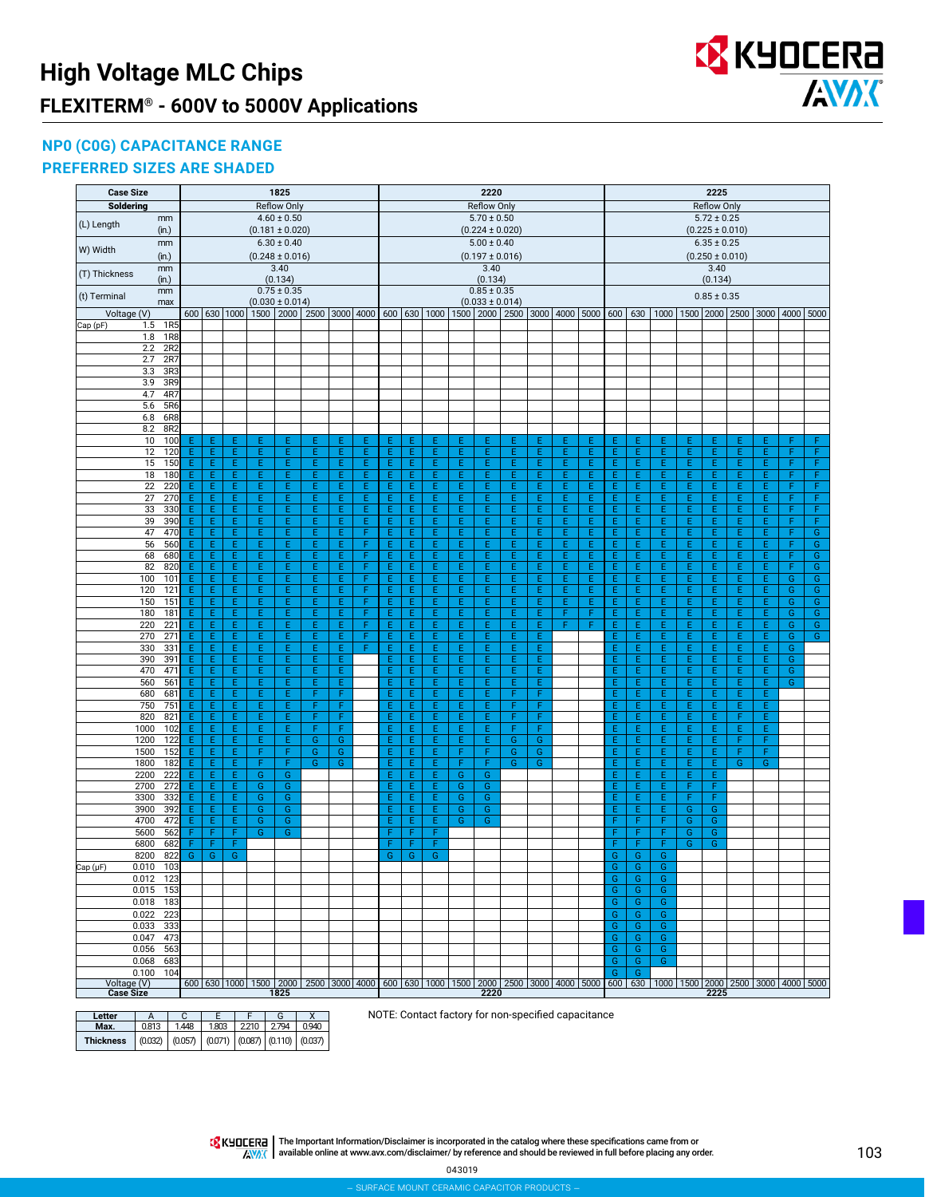

### **NP0 (C0G) CAPACITANCE RANGE**

#### **PREFERRED SIZES ARE SHADED**

| <b>Soldering</b><br>Reflow Only<br><b>Reflow Only</b><br>Reflow Only<br>$5.72 \pm 0.25$<br>$4.60 \pm 0.50$<br>$5.70 \pm 0.50$<br>mm<br>(L) Length<br>(in.)<br>$(0.181 \pm 0.020)$<br>$(0.224 \pm 0.020)$<br>$(0.225 \pm 0.010)$<br>$6.30 \pm 0.40$<br>$5.00 \pm 0.40$<br>$6.35 \pm 0.25$<br>mm<br>W) Width<br>$(0.248 \pm 0.016)$<br>$(0.197 \pm 0.016)$<br>$(0.250 \pm 0.010)$<br>(in.)<br>3.40<br>3.40<br>3.40<br>mm<br>(T) Thickness<br>(0.134)<br>(0.134)<br>(0.134)<br>(in.)<br>$0.85 \pm 0.35$<br>$0.75 \pm 0.35$<br>mm<br>$0.85 \pm 0.35$<br>(t) Terminal<br>$(0.030 \pm 0.014)$<br>$(0.033 \pm 0.014)$<br>max<br>600 630 1000<br>2500 3000 4000 600 630 1000<br>1500 2000 2500<br>3000 4000 5000<br>600<br>630<br>1000   1500   2000   2500<br>Voltage (V)<br>1500 2000<br>3000 4000 5000<br>Cap (pF)<br>1R5<br>1.5<br>1R <sub>8</sub><br>1.8<br>2R2<br>2.2<br>2R7<br>2.7<br>3R3<br>3.3<br>3R9<br>3.9<br>4.7<br>4R7<br>5.6<br>5R6<br>6R8<br>6.8<br>8.2<br>8R2<br>100<br>Ε<br>F<br>F<br>10<br>Ε<br>Ε<br>Ε<br>Ε<br>Ε<br>Ε<br>Ε<br>Ε<br>Ε<br>Ε<br>Е<br>Ε<br>Ε<br>Ε<br>Ε<br>Ε<br>Ε<br>Ε<br>Ε<br>Ε<br>Ε<br>Ε<br>Ε<br>12<br>120<br>E<br>Ε<br>Ε<br>Ε<br>E<br>E<br>Ε<br>E<br>Ε<br>Ε<br>E<br>Ε<br>E<br>Ε<br>E.<br>Ε<br>Ε<br>Ε<br>E<br>Ε<br>E<br>E<br>E.<br>E<br>F<br>F<br>E<br>E<br>E<br>E<br>E<br>Ε<br>E<br>Ė.<br>E<br>E<br>E<br>E<br>E.<br>E<br>F<br>F<br>15<br>150<br>Ε<br>Ε<br>E<br>E<br>Ε<br>E<br>E<br>E<br>E<br>E<br>18<br>180<br>E<br>Ε<br>E<br>Ε<br>E<br>E.<br>Ε<br>E<br>Ε<br>E<br>E<br>E.<br>E<br>Ε<br>Ε<br>Ε<br>E.<br>E<br>E<br>E.<br>E<br>F<br>F<br>Ε<br>Ε<br>Ε<br>22<br>220<br>E<br>E<br>E<br>E<br>E<br>E<br>Ε<br>E<br>E<br>E<br>E<br>E<br>E<br>E<br>F<br>F<br>Ε<br>E<br>E<br>Ε<br>E<br>E<br>E<br>Ε<br>E<br>Ε<br>E<br>E<br>E.<br>F<br>27<br>Ε<br>Ε<br>Ε<br>E<br>E<br>Ε<br>E.<br>E.<br>Ε<br>Ε<br>Ε<br>E.<br>E.<br>Ε<br>E.<br>F<br>270<br>Ε<br>Ε<br>Ε<br>Ε<br>Ε<br>Ε<br>F<br>E<br>E<br>E<br>E<br>E<br>E<br>E<br>E<br>F<br>33<br>330<br>Ε<br>Ε<br>Ε<br>E<br>E<br>Ε<br>E<br>E<br>Ε<br>Ε<br>Ε<br>E.<br>Ε<br>E<br>Ε<br>Ε<br>39<br>390<br>Ε<br>E.<br>E<br>Ε<br>E<br>Ε<br>Ε<br>E.<br>Ε<br>E.<br>Ε.<br>F<br>Ε<br>Ε<br>Ε<br>Ε<br>E.<br>Ε<br>Ε<br>Ε<br>Ε<br>Ε.<br>Ε<br>Ε<br>Ε<br>F<br>E<br>G<br>47<br>470<br>E.<br>Ε<br>Ε<br>E<br>E.<br>E<br>F<br>Ε<br>E<br>E<br>E<br>E.<br>E<br>E.<br>Ε<br>Ε<br>E<br>E.<br>E<br>E<br>E<br>E.<br>E<br>F<br>56<br>560<br>Ε<br>Ε<br>Ε<br>Ε<br>F<br>Ε<br>E<br>E.<br>E.<br>Ε<br>Ε<br>E.<br>E.<br>Ε.<br>Ε<br>F<br>G<br>E.<br>Ε<br>Ε<br>E.<br>E.<br>Ε<br>Ε<br>Ε.<br>Е<br>68<br>680<br>E<br>E<br>F<br>E<br>E.<br>E.<br>Ε.<br>F<br>G<br>E.<br>Ε<br>Ε<br>Ε<br>Ε<br>Ε<br>Ε<br>E.<br>Ε<br>Ε<br>Ε<br>Ε<br>Ε<br>Ε.<br>Ε<br>Ε<br>Ε<br>Ε<br>F<br>F<br>G<br>82<br>820<br>Ε<br>Ε<br>Ε<br>E<br>E<br>Ε<br>Ε<br>E<br>E<br>Ε<br>E<br>E<br>Ε<br>Ε<br>Ε<br>Ε<br>E.<br>Ε<br>E.<br>E<br>Ε.<br>E<br>G<br>100<br>101<br>Ε<br>Ε<br>Ε<br>Ε<br>E<br>E<br>Ε<br>F<br>Ε<br>E<br>E<br>Ε<br>E<br>E<br>E.<br>Ε<br>Ε<br>E<br>E.<br>Ε<br>E<br>E<br>E.<br>E<br>G<br>120<br>121<br>Ε<br>Ε<br>E<br>Ε<br>E<br>E<br>Ε<br>F<br>Ε<br>E<br>E<br>Ε<br>E.<br>E<br>Ε<br>Ε<br>Ε<br>E<br>E.<br>Ε<br>E<br>Ε<br>E.<br>E<br>G<br>G<br>E<br>E<br>E<br>E<br>E<br>F<br>Ε<br>E<br>E<br>E<br>E<br>E<br>E<br>G<br>G<br>150<br>151<br>Ε<br>E<br>E<br>E<br>Ε<br>Ε<br>Ε<br>E.<br>Ε<br>E<br>E<br>E<br>E<br>E<br>Ė.<br>E<br>F<br>Ε<br>E<br>Ė.<br>E<br>F<br>E<br>E<br>E.<br>E<br>Ġ<br>G<br>180<br>181<br>Ε<br>E<br>E<br>Ε<br>E<br>F<br>E<br>E<br>Ε<br>Ε<br>G<br>${\mathsf G}$<br>220<br>221<br>E<br>E<br>Ε<br>E<br>E.<br>F<br>Ε<br>E.<br>F<br>E<br>E<br>E.<br>Ε<br>Ε<br>Ε<br>E<br>Ε<br>Ε<br>F<br>Ε<br>Ε.<br>Ε<br>Ε<br>E<br>E<br>E<br>271<br>E<br>E<br>Ε<br>E<br>E<br>F<br>Ε<br>E<br>E<br>E<br>E<br>E<br>E<br>E<br>E<br>E<br>G<br>G<br>270<br>Ε<br>E<br>Ε<br>330<br>331<br>Ε<br>Ε<br>E<br>Ε<br>E<br>Ε<br>Ε<br>F<br>Ε<br>Ε<br>Ε<br>Ε<br>E.<br>Ε<br>Ε.<br>E<br>G<br>Ε<br>E.<br>Ε<br>Ε<br>Ε.<br>Ε<br>E<br>E<br>E<br>E<br>E<br>E<br>Ġ<br>390<br>391<br>Ε<br>Ε<br>Ε<br>E<br>E<br>Ε<br>E<br>Ε<br>Ε<br>E.<br>E<br>E<br>E<br>Е<br>Е<br>470<br>471<br>Ε<br>E.<br>E<br>E.<br>Ε<br>Ε<br>E.<br>E.<br>E.<br>E.<br>Ε.<br>G<br>Ε<br>Ε<br>E.<br>E.<br>E.<br>Ε<br>Е<br>Ε.<br>Е<br>Ε<br>560<br>561<br>E<br>E<br>E<br>E<br>Ε<br>E<br>E.<br>E.<br>Ε.<br>G<br>Ε<br>Ε<br>Ε<br>Ε<br>E.<br>Ε<br>Ε<br>E<br>Ε.<br>Ε<br>Ε<br>Ε<br>680<br>681<br>Ε<br>E<br>E<br>F<br>F<br>E<br>F<br>E<br>Ε.<br>Ε<br>Ε<br>Ε<br>Ε<br>E.<br>Ε<br>F<br>Ε<br>Ε.<br>Ε<br>E.<br>Ε<br>E<br>F<br>750<br>751<br>E<br>E<br>Ε<br>E<br>F<br>F<br>Ε<br>E<br>E<br>Ε<br>E<br>E<br>E.<br>Ε<br>E.<br>E<br>Ε.<br>E<br>F<br>E<br>F<br>820<br>821<br>Ε<br>Ε<br>Ε<br>Ε<br>F<br>F<br>Ε<br>E<br>E.<br>Ε<br>E.<br>F<br>E<br>E.<br>Ε<br>E.<br>Ε<br>F.<br>E<br>1000<br>102<br>Ε<br>Ε<br>Ε<br>Ε<br>E<br>F<br>F<br>Ε<br>E<br>E<br>Ε<br>E<br>F<br>F<br>Ε<br>E.<br>Ε<br>E<br>E<br>E.<br>Ε<br>122<br>E<br>E<br>E<br>E<br>Ġ<br>G<br>E<br>E<br>Ė.<br>G<br>G<br>Ë<br>E<br>E<br>F<br>Ë<br>1200<br>Ε<br>E<br>Ε<br>E<br>E<br>1500<br>152<br>Ε<br>E<br>F<br>G<br>F<br>G<br>G<br>E<br>Ε<br>F<br>G<br>Ε<br>Ε<br>E<br>F<br>Ε.<br>Ε<br>Ε<br>F<br>Е<br>F<br>Ε<br>E<br>F<br>$\overline{G}$<br>F<br>$\overline{G}$<br>E<br>1800<br>182<br>E<br>F<br>G<br>E<br>E<br>E<br>F<br>G<br>E<br>E<br>Ε<br>Ε<br>G<br>G<br>E<br>E<br>E<br>2200<br>222<br>G<br>G<br>Ε<br>E<br>Ε<br>G<br>G<br>E<br>E.<br>Ε<br>E<br>Ε<br>272<br>E<br>E<br>F<br>2700<br>Ε<br>G<br>G<br>E<br>E<br>E<br>G<br>E<br>E.<br>E<br>F<br>G<br>3300<br>332<br>Ε<br>Ε<br>G<br>Ε<br>G<br>G<br>Ε<br>Ε<br>E.<br>G<br>Ε<br>Ε.<br>Е<br>F<br>F<br>3900<br>392<br>E.<br>E<br>E.<br>G<br>G<br>G<br>Ε<br>E.<br>E<br>G<br>F<br>E.<br>Е<br>G<br>G<br>4700<br>472<br>Ε<br>E<br>G<br>G<br>Ε<br>G<br>Ε<br>E.<br>E.<br>G<br>F<br>F.<br>F<br>G<br>G<br>5600<br>562<br>F<br>F<br>G<br>G<br>F<br>F<br>F<br>F<br>G<br>G<br>6800<br>682<br>F<br>F<br>F<br>F<br>F<br>F<br>F<br>F<br>F<br>G<br>G<br>8200<br>822<br>G<br>G<br>G<br>G<br>G<br>G<br>G<br>G<br>G<br>Ġ<br>G<br>Cap (µF)<br>G<br>$0.010$ 103<br>Ġ<br>0.012 123<br>G<br>G<br>G<br>0.015<br>153<br>G<br>G<br>0.018<br>183<br>G<br>G<br>G<br>223<br>0.022<br>G<br>G<br>G<br>333<br>Ġ<br>0.033<br>G<br>G<br>473<br>0.047<br>G<br>G<br>G<br>563<br>Ġ<br>0.056<br>G<br>G<br>0.068<br>683<br>G<br>G<br>G<br>0.100<br>G<br>104<br>G.<br>600   630   1000   1500   2000   2500   3000   4000   600   630   1000   1500   2000   2500   3000   4000   5000<br>Voltage (V)<br><b>Case Size</b><br>1825<br>2220<br>2225 | <b>Case Size</b> |  |  | 1825 |  |  |  | 2220 |  |  |  |  | 2225 |  |  |
|--------------------------------------------------------------------------------------------------------------------------------------------------------------------------------------------------------------------------------------------------------------------------------------------------------------------------------------------------------------------------------------------------------------------------------------------------------------------------------------------------------------------------------------------------------------------------------------------------------------------------------------------------------------------------------------------------------------------------------------------------------------------------------------------------------------------------------------------------------------------------------------------------------------------------------------------------------------------------------------------------------------------------------------------------------------------------------------------------------------------------------------------------------------------------------------------------------------------------------------------------------------------------------------------------------------------------------------------------------------------------------------------------------------------------------------------------------------------------------------------------------------------------------------------------------------------------------------------------------------------------------------------------------------------------------------------------------------------------------------------------------------------------------------------------------------------------------------------------------------------------------------------------------------------------------------------------------------------------------------------------------------------------------------------------------------------------------------------------------------------------------------------------------------------------------------------------------------------------------------------------------------------------------------------------------------------------------------------------------------------------------------------------------------------------------------------------------------------------------------------------------------------------------------------------------------------------------------------------------------------------------------------------------------------------------------------------------------------------------------------------------------------------------------------------------------------------------------------------------------------------------------------------------------------------------------------------------------------------------------------------------------------------------------------------------------------------------------------------------------------------------------------------------------------------------------------------------------------------------------------------------------------------------------------------------------------------------------------------------------------------------------------------------------------------------------------------------------------------------------------------------------------------------------------------------------------------------------------------------------------------------------------------------------------------------------------------------------------------------------------------------------------------------------------------------------------------------------------------------------------------------------------------------------------------------------------------------------------------------------------------------------------------------------------------------------------------------------------------------------------------------------------------------------------------------------------------------------------------------------------------------------------------------------------------------------------------------------------------------------------------------------------------------------------------------------------------------------------------------------------------------------------------------------------------------------------------------------------------------------------------------------------------------------------------------------------------------------------------------------------------------------------------------------------------------------------------------------------------------------------------------------------------------------------------------------------------------------------------------------------------------------------------------------------------------------------------------------------------------------------------------------------------------------------------------------------------------------------------------------------------------------------------------------------------------------------------------------------------------------------------------------------------------------------------------------------------------------------------------------------------------------------------------------------------------------------------------------------------------------------------------------------------------------------------------------------------------------------------------------------------------------------------------------------------------------------------------------------------------------------------------------------------------------------------------------------------------------------------------------------------------------------------------------------------------------------------------------------------------------------------------------------------------------------------------------------------------------------------------------------------------------------------------------------------------------------------------------------------------------------------|------------------|--|--|------|--|--|--|------|--|--|--|--|------|--|--|
|                                                                                                                                                                                                                                                                                                                                                                                                                                                                                                                                                                                                                                                                                                                                                                                                                                                                                                                                                                                                                                                                                                                                                                                                                                                                                                                                                                                                                                                                                                                                                                                                                                                                                                                                                                                                                                                                                                                                                                                                                                                                                                                                                                                                                                                                                                                                                                                                                                                                                                                                                                                                                                                                                                                                                                                                                                                                                                                                                                                                                                                                                                                                                                                                                                                                                                                                                                                                                                                                                                                                                                                                                                                                                                                                                                                                                                                                                                                                                                                                                                                                                                                                                                                                                                                                                                                                                                                                                                                                                                                                                                                                                                                                                                                                                                                                                                                                                                                                                                                                                                                                                                                                                                                                                                                                                                                                                                                                                                                                                                                                                                                                                                                                                                                                                                                                                                                                                                                                                                                                                                                                                                                                                                                                                                                                                                                                                                          |                  |  |  |      |  |  |  |      |  |  |  |  |      |  |  |
|                                                                                                                                                                                                                                                                                                                                                                                                                                                                                                                                                                                                                                                                                                                                                                                                                                                                                                                                                                                                                                                                                                                                                                                                                                                                                                                                                                                                                                                                                                                                                                                                                                                                                                                                                                                                                                                                                                                                                                                                                                                                                                                                                                                                                                                                                                                                                                                                                                                                                                                                                                                                                                                                                                                                                                                                                                                                                                                                                                                                                                                                                                                                                                                                                                                                                                                                                                                                                                                                                                                                                                                                                                                                                                                                                                                                                                                                                                                                                                                                                                                                                                                                                                                                                                                                                                                                                                                                                                                                                                                                                                                                                                                                                                                                                                                                                                                                                                                                                                                                                                                                                                                                                                                                                                                                                                                                                                                                                                                                                                                                                                                                                                                                                                                                                                                                                                                                                                                                                                                                                                                                                                                                                                                                                                                                                                                                                                          |                  |  |  |      |  |  |  |      |  |  |  |  |      |  |  |
|                                                                                                                                                                                                                                                                                                                                                                                                                                                                                                                                                                                                                                                                                                                                                                                                                                                                                                                                                                                                                                                                                                                                                                                                                                                                                                                                                                                                                                                                                                                                                                                                                                                                                                                                                                                                                                                                                                                                                                                                                                                                                                                                                                                                                                                                                                                                                                                                                                                                                                                                                                                                                                                                                                                                                                                                                                                                                                                                                                                                                                                                                                                                                                                                                                                                                                                                                                                                                                                                                                                                                                                                                                                                                                                                                                                                                                                                                                                                                                                                                                                                                                                                                                                                                                                                                                                                                                                                                                                                                                                                                                                                                                                                                                                                                                                                                                                                                                                                                                                                                                                                                                                                                                                                                                                                                                                                                                                                                                                                                                                                                                                                                                                                                                                                                                                                                                                                                                                                                                                                                                                                                                                                                                                                                                                                                                                                                                          |                  |  |  |      |  |  |  |      |  |  |  |  |      |  |  |
|                                                                                                                                                                                                                                                                                                                                                                                                                                                                                                                                                                                                                                                                                                                                                                                                                                                                                                                                                                                                                                                                                                                                                                                                                                                                                                                                                                                                                                                                                                                                                                                                                                                                                                                                                                                                                                                                                                                                                                                                                                                                                                                                                                                                                                                                                                                                                                                                                                                                                                                                                                                                                                                                                                                                                                                                                                                                                                                                                                                                                                                                                                                                                                                                                                                                                                                                                                                                                                                                                                                                                                                                                                                                                                                                                                                                                                                                                                                                                                                                                                                                                                                                                                                                                                                                                                                                                                                                                                                                                                                                                                                                                                                                                                                                                                                                                                                                                                                                                                                                                                                                                                                                                                                                                                                                                                                                                                                                                                                                                                                                                                                                                                                                                                                                                                                                                                                                                                                                                                                                                                                                                                                                                                                                                                                                                                                                                                          |                  |  |  |      |  |  |  |      |  |  |  |  |      |  |  |
|                                                                                                                                                                                                                                                                                                                                                                                                                                                                                                                                                                                                                                                                                                                                                                                                                                                                                                                                                                                                                                                                                                                                                                                                                                                                                                                                                                                                                                                                                                                                                                                                                                                                                                                                                                                                                                                                                                                                                                                                                                                                                                                                                                                                                                                                                                                                                                                                                                                                                                                                                                                                                                                                                                                                                                                                                                                                                                                                                                                                                                                                                                                                                                                                                                                                                                                                                                                                                                                                                                                                                                                                                                                                                                                                                                                                                                                                                                                                                                                                                                                                                                                                                                                                                                                                                                                                                                                                                                                                                                                                                                                                                                                                                                                                                                                                                                                                                                                                                                                                                                                                                                                                                                                                                                                                                                                                                                                                                                                                                                                                                                                                                                                                                                                                                                                                                                                                                                                                                                                                                                                                                                                                                                                                                                                                                                                                                                          |                  |  |  |      |  |  |  |      |  |  |  |  |      |  |  |
|                                                                                                                                                                                                                                                                                                                                                                                                                                                                                                                                                                                                                                                                                                                                                                                                                                                                                                                                                                                                                                                                                                                                                                                                                                                                                                                                                                                                                                                                                                                                                                                                                                                                                                                                                                                                                                                                                                                                                                                                                                                                                                                                                                                                                                                                                                                                                                                                                                                                                                                                                                                                                                                                                                                                                                                                                                                                                                                                                                                                                                                                                                                                                                                                                                                                                                                                                                                                                                                                                                                                                                                                                                                                                                                                                                                                                                                                                                                                                                                                                                                                                                                                                                                                                                                                                                                                                                                                                                                                                                                                                                                                                                                                                                                                                                                                                                                                                                                                                                                                                                                                                                                                                                                                                                                                                                                                                                                                                                                                                                                                                                                                                                                                                                                                                                                                                                                                                                                                                                                                                                                                                                                                                                                                                                                                                                                                                                          |                  |  |  |      |  |  |  |      |  |  |  |  |      |  |  |
|                                                                                                                                                                                                                                                                                                                                                                                                                                                                                                                                                                                                                                                                                                                                                                                                                                                                                                                                                                                                                                                                                                                                                                                                                                                                                                                                                                                                                                                                                                                                                                                                                                                                                                                                                                                                                                                                                                                                                                                                                                                                                                                                                                                                                                                                                                                                                                                                                                                                                                                                                                                                                                                                                                                                                                                                                                                                                                                                                                                                                                                                                                                                                                                                                                                                                                                                                                                                                                                                                                                                                                                                                                                                                                                                                                                                                                                                                                                                                                                                                                                                                                                                                                                                                                                                                                                                                                                                                                                                                                                                                                                                                                                                                                                                                                                                                                                                                                                                                                                                                                                                                                                                                                                                                                                                                                                                                                                                                                                                                                                                                                                                                                                                                                                                                                                                                                                                                                                                                                                                                                                                                                                                                                                                                                                                                                                                                                          |                  |  |  |      |  |  |  |      |  |  |  |  |      |  |  |
|                                                                                                                                                                                                                                                                                                                                                                                                                                                                                                                                                                                                                                                                                                                                                                                                                                                                                                                                                                                                                                                                                                                                                                                                                                                                                                                                                                                                                                                                                                                                                                                                                                                                                                                                                                                                                                                                                                                                                                                                                                                                                                                                                                                                                                                                                                                                                                                                                                                                                                                                                                                                                                                                                                                                                                                                                                                                                                                                                                                                                                                                                                                                                                                                                                                                                                                                                                                                                                                                                                                                                                                                                                                                                                                                                                                                                                                                                                                                                                                                                                                                                                                                                                                                                                                                                                                                                                                                                                                                                                                                                                                                                                                                                                                                                                                                                                                                                                                                                                                                                                                                                                                                                                                                                                                                                                                                                                                                                                                                                                                                                                                                                                                                                                                                                                                                                                                                                                                                                                                                                                                                                                                                                                                                                                                                                                                                                                          |                  |  |  |      |  |  |  |      |  |  |  |  |      |  |  |
| 600 630 1000 1500 2000 2500 3000 4000 5000                                                                                                                                                                                                                                                                                                                                                                                                                                                                                                                                                                                                                                                                                                                                                                                                                                                                                                                                                                                                                                                                                                                                                                                                                                                                                                                                                                                                                                                                                                                                                                                                                                                                                                                                                                                                                                                                                                                                                                                                                                                                                                                                                                                                                                                                                                                                                                                                                                                                                                                                                                                                                                                                                                                                                                                                                                                                                                                                                                                                                                                                                                                                                                                                                                                                                                                                                                                                                                                                                                                                                                                                                                                                                                                                                                                                                                                                                                                                                                                                                                                                                                                                                                                                                                                                                                                                                                                                                                                                                                                                                                                                                                                                                                                                                                                                                                                                                                                                                                                                                                                                                                                                                                                                                                                                                                                                                                                                                                                                                                                                                                                                                                                                                                                                                                                                                                                                                                                                                                                                                                                                                                                                                                                                                                                                                                                               |                  |  |  |      |  |  |  |      |  |  |  |  |      |  |  |
|                                                                                                                                                                                                                                                                                                                                                                                                                                                                                                                                                                                                                                                                                                                                                                                                                                                                                                                                                                                                                                                                                                                                                                                                                                                                                                                                                                                                                                                                                                                                                                                                                                                                                                                                                                                                                                                                                                                                                                                                                                                                                                                                                                                                                                                                                                                                                                                                                                                                                                                                                                                                                                                                                                                                                                                                                                                                                                                                                                                                                                                                                                                                                                                                                                                                                                                                                                                                                                                                                                                                                                                                                                                                                                                                                                                                                                                                                                                                                                                                                                                                                                                                                                                                                                                                                                                                                                                                                                                                                                                                                                                                                                                                                                                                                                                                                                                                                                                                                                                                                                                                                                                                                                                                                                                                                                                                                                                                                                                                                                                                                                                                                                                                                                                                                                                                                                                                                                                                                                                                                                                                                                                                                                                                                                                                                                                                                                          |                  |  |  |      |  |  |  |      |  |  |  |  |      |  |  |
|                                                                                                                                                                                                                                                                                                                                                                                                                                                                                                                                                                                                                                                                                                                                                                                                                                                                                                                                                                                                                                                                                                                                                                                                                                                                                                                                                                                                                                                                                                                                                                                                                                                                                                                                                                                                                                                                                                                                                                                                                                                                                                                                                                                                                                                                                                                                                                                                                                                                                                                                                                                                                                                                                                                                                                                                                                                                                                                                                                                                                                                                                                                                                                                                                                                                                                                                                                                                                                                                                                                                                                                                                                                                                                                                                                                                                                                                                                                                                                                                                                                                                                                                                                                                                                                                                                                                                                                                                                                                                                                                                                                                                                                                                                                                                                                                                                                                                                                                                                                                                                                                                                                                                                                                                                                                                                                                                                                                                                                                                                                                                                                                                                                                                                                                                                                                                                                                                                                                                                                                                                                                                                                                                                                                                                                                                                                                                                          |                  |  |  |      |  |  |  |      |  |  |  |  |      |  |  |
|                                                                                                                                                                                                                                                                                                                                                                                                                                                                                                                                                                                                                                                                                                                                                                                                                                                                                                                                                                                                                                                                                                                                                                                                                                                                                                                                                                                                                                                                                                                                                                                                                                                                                                                                                                                                                                                                                                                                                                                                                                                                                                                                                                                                                                                                                                                                                                                                                                                                                                                                                                                                                                                                                                                                                                                                                                                                                                                                                                                                                                                                                                                                                                                                                                                                                                                                                                                                                                                                                                                                                                                                                                                                                                                                                                                                                                                                                                                                                                                                                                                                                                                                                                                                                                                                                                                                                                                                                                                                                                                                                                                                                                                                                                                                                                                                                                                                                                                                                                                                                                                                                                                                                                                                                                                                                                                                                                                                                                                                                                                                                                                                                                                                                                                                                                                                                                                                                                                                                                                                                                                                                                                                                                                                                                                                                                                                                                          |                  |  |  |      |  |  |  |      |  |  |  |  |      |  |  |
|                                                                                                                                                                                                                                                                                                                                                                                                                                                                                                                                                                                                                                                                                                                                                                                                                                                                                                                                                                                                                                                                                                                                                                                                                                                                                                                                                                                                                                                                                                                                                                                                                                                                                                                                                                                                                                                                                                                                                                                                                                                                                                                                                                                                                                                                                                                                                                                                                                                                                                                                                                                                                                                                                                                                                                                                                                                                                                                                                                                                                                                                                                                                                                                                                                                                                                                                                                                                                                                                                                                                                                                                                                                                                                                                                                                                                                                                                                                                                                                                                                                                                                                                                                                                                                                                                                                                                                                                                                                                                                                                                                                                                                                                                                                                                                                                                                                                                                                                                                                                                                                                                                                                                                                                                                                                                                                                                                                                                                                                                                                                                                                                                                                                                                                                                                                                                                                                                                                                                                                                                                                                                                                                                                                                                                                                                                                                                                          |                  |  |  |      |  |  |  |      |  |  |  |  |      |  |  |
|                                                                                                                                                                                                                                                                                                                                                                                                                                                                                                                                                                                                                                                                                                                                                                                                                                                                                                                                                                                                                                                                                                                                                                                                                                                                                                                                                                                                                                                                                                                                                                                                                                                                                                                                                                                                                                                                                                                                                                                                                                                                                                                                                                                                                                                                                                                                                                                                                                                                                                                                                                                                                                                                                                                                                                                                                                                                                                                                                                                                                                                                                                                                                                                                                                                                                                                                                                                                                                                                                                                                                                                                                                                                                                                                                                                                                                                                                                                                                                                                                                                                                                                                                                                                                                                                                                                                                                                                                                                                                                                                                                                                                                                                                                                                                                                                                                                                                                                                                                                                                                                                                                                                                                                                                                                                                                                                                                                                                                                                                                                                                                                                                                                                                                                                                                                                                                                                                                                                                                                                                                                                                                                                                                                                                                                                                                                                                                          |                  |  |  |      |  |  |  |      |  |  |  |  |      |  |  |
|                                                                                                                                                                                                                                                                                                                                                                                                                                                                                                                                                                                                                                                                                                                                                                                                                                                                                                                                                                                                                                                                                                                                                                                                                                                                                                                                                                                                                                                                                                                                                                                                                                                                                                                                                                                                                                                                                                                                                                                                                                                                                                                                                                                                                                                                                                                                                                                                                                                                                                                                                                                                                                                                                                                                                                                                                                                                                                                                                                                                                                                                                                                                                                                                                                                                                                                                                                                                                                                                                                                                                                                                                                                                                                                                                                                                                                                                                                                                                                                                                                                                                                                                                                                                                                                                                                                                                                                                                                                                                                                                                                                                                                                                                                                                                                                                                                                                                                                                                                                                                                                                                                                                                                                                                                                                                                                                                                                                                                                                                                                                                                                                                                                                                                                                                                                                                                                                                                                                                                                                                                                                                                                                                                                                                                                                                                                                                                          |                  |  |  |      |  |  |  |      |  |  |  |  |      |  |  |
|                                                                                                                                                                                                                                                                                                                                                                                                                                                                                                                                                                                                                                                                                                                                                                                                                                                                                                                                                                                                                                                                                                                                                                                                                                                                                                                                                                                                                                                                                                                                                                                                                                                                                                                                                                                                                                                                                                                                                                                                                                                                                                                                                                                                                                                                                                                                                                                                                                                                                                                                                                                                                                                                                                                                                                                                                                                                                                                                                                                                                                                                                                                                                                                                                                                                                                                                                                                                                                                                                                                                                                                                                                                                                                                                                                                                                                                                                                                                                                                                                                                                                                                                                                                                                                                                                                                                                                                                                                                                                                                                                                                                                                                                                                                                                                                                                                                                                                                                                                                                                                                                                                                                                                                                                                                                                                                                                                                                                                                                                                                                                                                                                                                                                                                                                                                                                                                                                                                                                                                                                                                                                                                                                                                                                                                                                                                                                                          |                  |  |  |      |  |  |  |      |  |  |  |  |      |  |  |
|                                                                                                                                                                                                                                                                                                                                                                                                                                                                                                                                                                                                                                                                                                                                                                                                                                                                                                                                                                                                                                                                                                                                                                                                                                                                                                                                                                                                                                                                                                                                                                                                                                                                                                                                                                                                                                                                                                                                                                                                                                                                                                                                                                                                                                                                                                                                                                                                                                                                                                                                                                                                                                                                                                                                                                                                                                                                                                                                                                                                                                                                                                                                                                                                                                                                                                                                                                                                                                                                                                                                                                                                                                                                                                                                                                                                                                                                                                                                                                                                                                                                                                                                                                                                                                                                                                                                                                                                                                                                                                                                                                                                                                                                                                                                                                                                                                                                                                                                                                                                                                                                                                                                                                                                                                                                                                                                                                                                                                                                                                                                                                                                                                                                                                                                                                                                                                                                                                                                                                                                                                                                                                                                                                                                                                                                                                                                                                          |                  |  |  |      |  |  |  |      |  |  |  |  |      |  |  |
|                                                                                                                                                                                                                                                                                                                                                                                                                                                                                                                                                                                                                                                                                                                                                                                                                                                                                                                                                                                                                                                                                                                                                                                                                                                                                                                                                                                                                                                                                                                                                                                                                                                                                                                                                                                                                                                                                                                                                                                                                                                                                                                                                                                                                                                                                                                                                                                                                                                                                                                                                                                                                                                                                                                                                                                                                                                                                                                                                                                                                                                                                                                                                                                                                                                                                                                                                                                                                                                                                                                                                                                                                                                                                                                                                                                                                                                                                                                                                                                                                                                                                                                                                                                                                                                                                                                                                                                                                                                                                                                                                                                                                                                                                                                                                                                                                                                                                                                                                                                                                                                                                                                                                                                                                                                                                                                                                                                                                                                                                                                                                                                                                                                                                                                                                                                                                                                                                                                                                                                                                                                                                                                                                                                                                                                                                                                                                                          |                  |  |  |      |  |  |  |      |  |  |  |  |      |  |  |
|                                                                                                                                                                                                                                                                                                                                                                                                                                                                                                                                                                                                                                                                                                                                                                                                                                                                                                                                                                                                                                                                                                                                                                                                                                                                                                                                                                                                                                                                                                                                                                                                                                                                                                                                                                                                                                                                                                                                                                                                                                                                                                                                                                                                                                                                                                                                                                                                                                                                                                                                                                                                                                                                                                                                                                                                                                                                                                                                                                                                                                                                                                                                                                                                                                                                                                                                                                                                                                                                                                                                                                                                                                                                                                                                                                                                                                                                                                                                                                                                                                                                                                                                                                                                                                                                                                                                                                                                                                                                                                                                                                                                                                                                                                                                                                                                                                                                                                                                                                                                                                                                                                                                                                                                                                                                                                                                                                                                                                                                                                                                                                                                                                                                                                                                                                                                                                                                                                                                                                                                                                                                                                                                                                                                                                                                                                                                                                          |                  |  |  |      |  |  |  |      |  |  |  |  |      |  |  |
|                                                                                                                                                                                                                                                                                                                                                                                                                                                                                                                                                                                                                                                                                                                                                                                                                                                                                                                                                                                                                                                                                                                                                                                                                                                                                                                                                                                                                                                                                                                                                                                                                                                                                                                                                                                                                                                                                                                                                                                                                                                                                                                                                                                                                                                                                                                                                                                                                                                                                                                                                                                                                                                                                                                                                                                                                                                                                                                                                                                                                                                                                                                                                                                                                                                                                                                                                                                                                                                                                                                                                                                                                                                                                                                                                                                                                                                                                                                                                                                                                                                                                                                                                                                                                                                                                                                                                                                                                                                                                                                                                                                                                                                                                                                                                                                                                                                                                                                                                                                                                                                                                                                                                                                                                                                                                                                                                                                                                                                                                                                                                                                                                                                                                                                                                                                                                                                                                                                                                                                                                                                                                                                                                                                                                                                                                                                                                                          |                  |  |  |      |  |  |  |      |  |  |  |  |      |  |  |
|                                                                                                                                                                                                                                                                                                                                                                                                                                                                                                                                                                                                                                                                                                                                                                                                                                                                                                                                                                                                                                                                                                                                                                                                                                                                                                                                                                                                                                                                                                                                                                                                                                                                                                                                                                                                                                                                                                                                                                                                                                                                                                                                                                                                                                                                                                                                                                                                                                                                                                                                                                                                                                                                                                                                                                                                                                                                                                                                                                                                                                                                                                                                                                                                                                                                                                                                                                                                                                                                                                                                                                                                                                                                                                                                                                                                                                                                                                                                                                                                                                                                                                                                                                                                                                                                                                                                                                                                                                                                                                                                                                                                                                                                                                                                                                                                                                                                                                                                                                                                                                                                                                                                                                                                                                                                                                                                                                                                                                                                                                                                                                                                                                                                                                                                                                                                                                                                                                                                                                                                                                                                                                                                                                                                                                                                                                                                                                          |                  |  |  |      |  |  |  |      |  |  |  |  |      |  |  |
|                                                                                                                                                                                                                                                                                                                                                                                                                                                                                                                                                                                                                                                                                                                                                                                                                                                                                                                                                                                                                                                                                                                                                                                                                                                                                                                                                                                                                                                                                                                                                                                                                                                                                                                                                                                                                                                                                                                                                                                                                                                                                                                                                                                                                                                                                                                                                                                                                                                                                                                                                                                                                                                                                                                                                                                                                                                                                                                                                                                                                                                                                                                                                                                                                                                                                                                                                                                                                                                                                                                                                                                                                                                                                                                                                                                                                                                                                                                                                                                                                                                                                                                                                                                                                                                                                                                                                                                                                                                                                                                                                                                                                                                                                                                                                                                                                                                                                                                                                                                                                                                                                                                                                                                                                                                                                                                                                                                                                                                                                                                                                                                                                                                                                                                                                                                                                                                                                                                                                                                                                                                                                                                                                                                                                                                                                                                                                                          |                  |  |  |      |  |  |  |      |  |  |  |  |      |  |  |
|                                                                                                                                                                                                                                                                                                                                                                                                                                                                                                                                                                                                                                                                                                                                                                                                                                                                                                                                                                                                                                                                                                                                                                                                                                                                                                                                                                                                                                                                                                                                                                                                                                                                                                                                                                                                                                                                                                                                                                                                                                                                                                                                                                                                                                                                                                                                                                                                                                                                                                                                                                                                                                                                                                                                                                                                                                                                                                                                                                                                                                                                                                                                                                                                                                                                                                                                                                                                                                                                                                                                                                                                                                                                                                                                                                                                                                                                                                                                                                                                                                                                                                                                                                                                                                                                                                                                                                                                                                                                                                                                                                                                                                                                                                                                                                                                                                                                                                                                                                                                                                                                                                                                                                                                                                                                                                                                                                                                                                                                                                                                                                                                                                                                                                                                                                                                                                                                                                                                                                                                                                                                                                                                                                                                                                                                                                                                                                          |                  |  |  |      |  |  |  |      |  |  |  |  |      |  |  |
|                                                                                                                                                                                                                                                                                                                                                                                                                                                                                                                                                                                                                                                                                                                                                                                                                                                                                                                                                                                                                                                                                                                                                                                                                                                                                                                                                                                                                                                                                                                                                                                                                                                                                                                                                                                                                                                                                                                                                                                                                                                                                                                                                                                                                                                                                                                                                                                                                                                                                                                                                                                                                                                                                                                                                                                                                                                                                                                                                                                                                                                                                                                                                                                                                                                                                                                                                                                                                                                                                                                                                                                                                                                                                                                                                                                                                                                                                                                                                                                                                                                                                                                                                                                                                                                                                                                                                                                                                                                                                                                                                                                                                                                                                                                                                                                                                                                                                                                                                                                                                                                                                                                                                                                                                                                                                                                                                                                                                                                                                                                                                                                                                                                                                                                                                                                                                                                                                                                                                                                                                                                                                                                                                                                                                                                                                                                                                                          |                  |  |  |      |  |  |  |      |  |  |  |  |      |  |  |
|                                                                                                                                                                                                                                                                                                                                                                                                                                                                                                                                                                                                                                                                                                                                                                                                                                                                                                                                                                                                                                                                                                                                                                                                                                                                                                                                                                                                                                                                                                                                                                                                                                                                                                                                                                                                                                                                                                                                                                                                                                                                                                                                                                                                                                                                                                                                                                                                                                                                                                                                                                                                                                                                                                                                                                                                                                                                                                                                                                                                                                                                                                                                                                                                                                                                                                                                                                                                                                                                                                                                                                                                                                                                                                                                                                                                                                                                                                                                                                                                                                                                                                                                                                                                                                                                                                                                                                                                                                                                                                                                                                                                                                                                                                                                                                                                                                                                                                                                                                                                                                                                                                                                                                                                                                                                                                                                                                                                                                                                                                                                                                                                                                                                                                                                                                                                                                                                                                                                                                                                                                                                                                                                                                                                                                                                                                                                                                          |                  |  |  |      |  |  |  |      |  |  |  |  |      |  |  |
|                                                                                                                                                                                                                                                                                                                                                                                                                                                                                                                                                                                                                                                                                                                                                                                                                                                                                                                                                                                                                                                                                                                                                                                                                                                                                                                                                                                                                                                                                                                                                                                                                                                                                                                                                                                                                                                                                                                                                                                                                                                                                                                                                                                                                                                                                                                                                                                                                                                                                                                                                                                                                                                                                                                                                                                                                                                                                                                                                                                                                                                                                                                                                                                                                                                                                                                                                                                                                                                                                                                                                                                                                                                                                                                                                                                                                                                                                                                                                                                                                                                                                                                                                                                                                                                                                                                                                                                                                                                                                                                                                                                                                                                                                                                                                                                                                                                                                                                                                                                                                                                                                                                                                                                                                                                                                                                                                                                                                                                                                                                                                                                                                                                                                                                                                                                                                                                                                                                                                                                                                                                                                                                                                                                                                                                                                                                                                                          |                  |  |  |      |  |  |  |      |  |  |  |  |      |  |  |
|                                                                                                                                                                                                                                                                                                                                                                                                                                                                                                                                                                                                                                                                                                                                                                                                                                                                                                                                                                                                                                                                                                                                                                                                                                                                                                                                                                                                                                                                                                                                                                                                                                                                                                                                                                                                                                                                                                                                                                                                                                                                                                                                                                                                                                                                                                                                                                                                                                                                                                                                                                                                                                                                                                                                                                                                                                                                                                                                                                                                                                                                                                                                                                                                                                                                                                                                                                                                                                                                                                                                                                                                                                                                                                                                                                                                                                                                                                                                                                                                                                                                                                                                                                                                                                                                                                                                                                                                                                                                                                                                                                                                                                                                                                                                                                                                                                                                                                                                                                                                                                                                                                                                                                                                                                                                                                                                                                                                                                                                                                                                                                                                                                                                                                                                                                                                                                                                                                                                                                                                                                                                                                                                                                                                                                                                                                                                                                          |                  |  |  |      |  |  |  |      |  |  |  |  |      |  |  |
|                                                                                                                                                                                                                                                                                                                                                                                                                                                                                                                                                                                                                                                                                                                                                                                                                                                                                                                                                                                                                                                                                                                                                                                                                                                                                                                                                                                                                                                                                                                                                                                                                                                                                                                                                                                                                                                                                                                                                                                                                                                                                                                                                                                                                                                                                                                                                                                                                                                                                                                                                                                                                                                                                                                                                                                                                                                                                                                                                                                                                                                                                                                                                                                                                                                                                                                                                                                                                                                                                                                                                                                                                                                                                                                                                                                                                                                                                                                                                                                                                                                                                                                                                                                                                                                                                                                                                                                                                                                                                                                                                                                                                                                                                                                                                                                                                                                                                                                                                                                                                                                                                                                                                                                                                                                                                                                                                                                                                                                                                                                                                                                                                                                                                                                                                                                                                                                                                                                                                                                                                                                                                                                                                                                                                                                                                                                                                                          |                  |  |  |      |  |  |  |      |  |  |  |  |      |  |  |
|                                                                                                                                                                                                                                                                                                                                                                                                                                                                                                                                                                                                                                                                                                                                                                                                                                                                                                                                                                                                                                                                                                                                                                                                                                                                                                                                                                                                                                                                                                                                                                                                                                                                                                                                                                                                                                                                                                                                                                                                                                                                                                                                                                                                                                                                                                                                                                                                                                                                                                                                                                                                                                                                                                                                                                                                                                                                                                                                                                                                                                                                                                                                                                                                                                                                                                                                                                                                                                                                                                                                                                                                                                                                                                                                                                                                                                                                                                                                                                                                                                                                                                                                                                                                                                                                                                                                                                                                                                                                                                                                                                                                                                                                                                                                                                                                                                                                                                                                                                                                                                                                                                                                                                                                                                                                                                                                                                                                                                                                                                                                                                                                                                                                                                                                                                                                                                                                                                                                                                                                                                                                                                                                                                                                                                                                                                                                                                          |                  |  |  |      |  |  |  |      |  |  |  |  |      |  |  |
|                                                                                                                                                                                                                                                                                                                                                                                                                                                                                                                                                                                                                                                                                                                                                                                                                                                                                                                                                                                                                                                                                                                                                                                                                                                                                                                                                                                                                                                                                                                                                                                                                                                                                                                                                                                                                                                                                                                                                                                                                                                                                                                                                                                                                                                                                                                                                                                                                                                                                                                                                                                                                                                                                                                                                                                                                                                                                                                                                                                                                                                                                                                                                                                                                                                                                                                                                                                                                                                                                                                                                                                                                                                                                                                                                                                                                                                                                                                                                                                                                                                                                                                                                                                                                                                                                                                                                                                                                                                                                                                                                                                                                                                                                                                                                                                                                                                                                                                                                                                                                                                                                                                                                                                                                                                                                                                                                                                                                                                                                                                                                                                                                                                                                                                                                                                                                                                                                                                                                                                                                                                                                                                                                                                                                                                                                                                                                                          |                  |  |  |      |  |  |  |      |  |  |  |  |      |  |  |
|                                                                                                                                                                                                                                                                                                                                                                                                                                                                                                                                                                                                                                                                                                                                                                                                                                                                                                                                                                                                                                                                                                                                                                                                                                                                                                                                                                                                                                                                                                                                                                                                                                                                                                                                                                                                                                                                                                                                                                                                                                                                                                                                                                                                                                                                                                                                                                                                                                                                                                                                                                                                                                                                                                                                                                                                                                                                                                                                                                                                                                                                                                                                                                                                                                                                                                                                                                                                                                                                                                                                                                                                                                                                                                                                                                                                                                                                                                                                                                                                                                                                                                                                                                                                                                                                                                                                                                                                                                                                                                                                                                                                                                                                                                                                                                                                                                                                                                                                                                                                                                                                                                                                                                                                                                                                                                                                                                                                                                                                                                                                                                                                                                                                                                                                                                                                                                                                                                                                                                                                                                                                                                                                                                                                                                                                                                                                                                          |                  |  |  |      |  |  |  |      |  |  |  |  |      |  |  |
|                                                                                                                                                                                                                                                                                                                                                                                                                                                                                                                                                                                                                                                                                                                                                                                                                                                                                                                                                                                                                                                                                                                                                                                                                                                                                                                                                                                                                                                                                                                                                                                                                                                                                                                                                                                                                                                                                                                                                                                                                                                                                                                                                                                                                                                                                                                                                                                                                                                                                                                                                                                                                                                                                                                                                                                                                                                                                                                                                                                                                                                                                                                                                                                                                                                                                                                                                                                                                                                                                                                                                                                                                                                                                                                                                                                                                                                                                                                                                                                                                                                                                                                                                                                                                                                                                                                                                                                                                                                                                                                                                                                                                                                                                                                                                                                                                                                                                                                                                                                                                                                                                                                                                                                                                                                                                                                                                                                                                                                                                                                                                                                                                                                                                                                                                                                                                                                                                                                                                                                                                                                                                                                                                                                                                                                                                                                                                                          |                  |  |  |      |  |  |  |      |  |  |  |  |      |  |  |
|                                                                                                                                                                                                                                                                                                                                                                                                                                                                                                                                                                                                                                                                                                                                                                                                                                                                                                                                                                                                                                                                                                                                                                                                                                                                                                                                                                                                                                                                                                                                                                                                                                                                                                                                                                                                                                                                                                                                                                                                                                                                                                                                                                                                                                                                                                                                                                                                                                                                                                                                                                                                                                                                                                                                                                                                                                                                                                                                                                                                                                                                                                                                                                                                                                                                                                                                                                                                                                                                                                                                                                                                                                                                                                                                                                                                                                                                                                                                                                                                                                                                                                                                                                                                                                                                                                                                                                                                                                                                                                                                                                                                                                                                                                                                                                                                                                                                                                                                                                                                                                                                                                                                                                                                                                                                                                                                                                                                                                                                                                                                                                                                                                                                                                                                                                                                                                                                                                                                                                                                                                                                                                                                                                                                                                                                                                                                                                          |                  |  |  |      |  |  |  |      |  |  |  |  |      |  |  |
|                                                                                                                                                                                                                                                                                                                                                                                                                                                                                                                                                                                                                                                                                                                                                                                                                                                                                                                                                                                                                                                                                                                                                                                                                                                                                                                                                                                                                                                                                                                                                                                                                                                                                                                                                                                                                                                                                                                                                                                                                                                                                                                                                                                                                                                                                                                                                                                                                                                                                                                                                                                                                                                                                                                                                                                                                                                                                                                                                                                                                                                                                                                                                                                                                                                                                                                                                                                                                                                                                                                                                                                                                                                                                                                                                                                                                                                                                                                                                                                                                                                                                                                                                                                                                                                                                                                                                                                                                                                                                                                                                                                                                                                                                                                                                                                                                                                                                                                                                                                                                                                                                                                                                                                                                                                                                                                                                                                                                                                                                                                                                                                                                                                                                                                                                                                                                                                                                                                                                                                                                                                                                                                                                                                                                                                                                                                                                                          |                  |  |  |      |  |  |  |      |  |  |  |  |      |  |  |
|                                                                                                                                                                                                                                                                                                                                                                                                                                                                                                                                                                                                                                                                                                                                                                                                                                                                                                                                                                                                                                                                                                                                                                                                                                                                                                                                                                                                                                                                                                                                                                                                                                                                                                                                                                                                                                                                                                                                                                                                                                                                                                                                                                                                                                                                                                                                                                                                                                                                                                                                                                                                                                                                                                                                                                                                                                                                                                                                                                                                                                                                                                                                                                                                                                                                                                                                                                                                                                                                                                                                                                                                                                                                                                                                                                                                                                                                                                                                                                                                                                                                                                                                                                                                                                                                                                                                                                                                                                                                                                                                                                                                                                                                                                                                                                                                                                                                                                                                                                                                                                                                                                                                                                                                                                                                                                                                                                                                                                                                                                                                                                                                                                                                                                                                                                                                                                                                                                                                                                                                                                                                                                                                                                                                                                                                                                                                                                          |                  |  |  |      |  |  |  |      |  |  |  |  |      |  |  |
|                                                                                                                                                                                                                                                                                                                                                                                                                                                                                                                                                                                                                                                                                                                                                                                                                                                                                                                                                                                                                                                                                                                                                                                                                                                                                                                                                                                                                                                                                                                                                                                                                                                                                                                                                                                                                                                                                                                                                                                                                                                                                                                                                                                                                                                                                                                                                                                                                                                                                                                                                                                                                                                                                                                                                                                                                                                                                                                                                                                                                                                                                                                                                                                                                                                                                                                                                                                                                                                                                                                                                                                                                                                                                                                                                                                                                                                                                                                                                                                                                                                                                                                                                                                                                                                                                                                                                                                                                                                                                                                                                                                                                                                                                                                                                                                                                                                                                                                                                                                                                                                                                                                                                                                                                                                                                                                                                                                                                                                                                                                                                                                                                                                                                                                                                                                                                                                                                                                                                                                                                                                                                                                                                                                                                                                                                                                                                                          |                  |  |  |      |  |  |  |      |  |  |  |  |      |  |  |
|                                                                                                                                                                                                                                                                                                                                                                                                                                                                                                                                                                                                                                                                                                                                                                                                                                                                                                                                                                                                                                                                                                                                                                                                                                                                                                                                                                                                                                                                                                                                                                                                                                                                                                                                                                                                                                                                                                                                                                                                                                                                                                                                                                                                                                                                                                                                                                                                                                                                                                                                                                                                                                                                                                                                                                                                                                                                                                                                                                                                                                                                                                                                                                                                                                                                                                                                                                                                                                                                                                                                                                                                                                                                                                                                                                                                                                                                                                                                                                                                                                                                                                                                                                                                                                                                                                                                                                                                                                                                                                                                                                                                                                                                                                                                                                                                                                                                                                                                                                                                                                                                                                                                                                                                                                                                                                                                                                                                                                                                                                                                                                                                                                                                                                                                                                                                                                                                                                                                                                                                                                                                                                                                                                                                                                                                                                                                                                          |                  |  |  |      |  |  |  |      |  |  |  |  |      |  |  |
|                                                                                                                                                                                                                                                                                                                                                                                                                                                                                                                                                                                                                                                                                                                                                                                                                                                                                                                                                                                                                                                                                                                                                                                                                                                                                                                                                                                                                                                                                                                                                                                                                                                                                                                                                                                                                                                                                                                                                                                                                                                                                                                                                                                                                                                                                                                                                                                                                                                                                                                                                                                                                                                                                                                                                                                                                                                                                                                                                                                                                                                                                                                                                                                                                                                                                                                                                                                                                                                                                                                                                                                                                                                                                                                                                                                                                                                                                                                                                                                                                                                                                                                                                                                                                                                                                                                                                                                                                                                                                                                                                                                                                                                                                                                                                                                                                                                                                                                                                                                                                                                                                                                                                                                                                                                                                                                                                                                                                                                                                                                                                                                                                                                                                                                                                                                                                                                                                                                                                                                                                                                                                                                                                                                                                                                                                                                                                                          |                  |  |  |      |  |  |  |      |  |  |  |  |      |  |  |
|                                                                                                                                                                                                                                                                                                                                                                                                                                                                                                                                                                                                                                                                                                                                                                                                                                                                                                                                                                                                                                                                                                                                                                                                                                                                                                                                                                                                                                                                                                                                                                                                                                                                                                                                                                                                                                                                                                                                                                                                                                                                                                                                                                                                                                                                                                                                                                                                                                                                                                                                                                                                                                                                                                                                                                                                                                                                                                                                                                                                                                                                                                                                                                                                                                                                                                                                                                                                                                                                                                                                                                                                                                                                                                                                                                                                                                                                                                                                                                                                                                                                                                                                                                                                                                                                                                                                                                                                                                                                                                                                                                                                                                                                                                                                                                                                                                                                                                                                                                                                                                                                                                                                                                                                                                                                                                                                                                                                                                                                                                                                                                                                                                                                                                                                                                                                                                                                                                                                                                                                                                                                                                                                                                                                                                                                                                                                                                          |                  |  |  |      |  |  |  |      |  |  |  |  |      |  |  |
|                                                                                                                                                                                                                                                                                                                                                                                                                                                                                                                                                                                                                                                                                                                                                                                                                                                                                                                                                                                                                                                                                                                                                                                                                                                                                                                                                                                                                                                                                                                                                                                                                                                                                                                                                                                                                                                                                                                                                                                                                                                                                                                                                                                                                                                                                                                                                                                                                                                                                                                                                                                                                                                                                                                                                                                                                                                                                                                                                                                                                                                                                                                                                                                                                                                                                                                                                                                                                                                                                                                                                                                                                                                                                                                                                                                                                                                                                                                                                                                                                                                                                                                                                                                                                                                                                                                                                                                                                                                                                                                                                                                                                                                                                                                                                                                                                                                                                                                                                                                                                                                                                                                                                                                                                                                                                                                                                                                                                                                                                                                                                                                                                                                                                                                                                                                                                                                                                                                                                                                                                                                                                                                                                                                                                                                                                                                                                                          |                  |  |  |      |  |  |  |      |  |  |  |  |      |  |  |
|                                                                                                                                                                                                                                                                                                                                                                                                                                                                                                                                                                                                                                                                                                                                                                                                                                                                                                                                                                                                                                                                                                                                                                                                                                                                                                                                                                                                                                                                                                                                                                                                                                                                                                                                                                                                                                                                                                                                                                                                                                                                                                                                                                                                                                                                                                                                                                                                                                                                                                                                                                                                                                                                                                                                                                                                                                                                                                                                                                                                                                                                                                                                                                                                                                                                                                                                                                                                                                                                                                                                                                                                                                                                                                                                                                                                                                                                                                                                                                                                                                                                                                                                                                                                                                                                                                                                                                                                                                                                                                                                                                                                                                                                                                                                                                                                                                                                                                                                                                                                                                                                                                                                                                                                                                                                                                                                                                                                                                                                                                                                                                                                                                                                                                                                                                                                                                                                                                                                                                                                                                                                                                                                                                                                                                                                                                                                                                          |                  |  |  |      |  |  |  |      |  |  |  |  |      |  |  |
|                                                                                                                                                                                                                                                                                                                                                                                                                                                                                                                                                                                                                                                                                                                                                                                                                                                                                                                                                                                                                                                                                                                                                                                                                                                                                                                                                                                                                                                                                                                                                                                                                                                                                                                                                                                                                                                                                                                                                                                                                                                                                                                                                                                                                                                                                                                                                                                                                                                                                                                                                                                                                                                                                                                                                                                                                                                                                                                                                                                                                                                                                                                                                                                                                                                                                                                                                                                                                                                                                                                                                                                                                                                                                                                                                                                                                                                                                                                                                                                                                                                                                                                                                                                                                                                                                                                                                                                                                                                                                                                                                                                                                                                                                                                                                                                                                                                                                                                                                                                                                                                                                                                                                                                                                                                                                                                                                                                                                                                                                                                                                                                                                                                                                                                                                                                                                                                                                                                                                                                                                                                                                                                                                                                                                                                                                                                                                                          |                  |  |  |      |  |  |  |      |  |  |  |  |      |  |  |
|                                                                                                                                                                                                                                                                                                                                                                                                                                                                                                                                                                                                                                                                                                                                                                                                                                                                                                                                                                                                                                                                                                                                                                                                                                                                                                                                                                                                                                                                                                                                                                                                                                                                                                                                                                                                                                                                                                                                                                                                                                                                                                                                                                                                                                                                                                                                                                                                                                                                                                                                                                                                                                                                                                                                                                                                                                                                                                                                                                                                                                                                                                                                                                                                                                                                                                                                                                                                                                                                                                                                                                                                                                                                                                                                                                                                                                                                                                                                                                                                                                                                                                                                                                                                                                                                                                                                                                                                                                                                                                                                                                                                                                                                                                                                                                                                                                                                                                                                                                                                                                                                                                                                                                                                                                                                                                                                                                                                                                                                                                                                                                                                                                                                                                                                                                                                                                                                                                                                                                                                                                                                                                                                                                                                                                                                                                                                                                          |                  |  |  |      |  |  |  |      |  |  |  |  |      |  |  |
|                                                                                                                                                                                                                                                                                                                                                                                                                                                                                                                                                                                                                                                                                                                                                                                                                                                                                                                                                                                                                                                                                                                                                                                                                                                                                                                                                                                                                                                                                                                                                                                                                                                                                                                                                                                                                                                                                                                                                                                                                                                                                                                                                                                                                                                                                                                                                                                                                                                                                                                                                                                                                                                                                                                                                                                                                                                                                                                                                                                                                                                                                                                                                                                                                                                                                                                                                                                                                                                                                                                                                                                                                                                                                                                                                                                                                                                                                                                                                                                                                                                                                                                                                                                                                                                                                                                                                                                                                                                                                                                                                                                                                                                                                                                                                                                                                                                                                                                                                                                                                                                                                                                                                                                                                                                                                                                                                                                                                                                                                                                                                                                                                                                                                                                                                                                                                                                                                                                                                                                                                                                                                                                                                                                                                                                                                                                                                                          |                  |  |  |      |  |  |  |      |  |  |  |  |      |  |  |
|                                                                                                                                                                                                                                                                                                                                                                                                                                                                                                                                                                                                                                                                                                                                                                                                                                                                                                                                                                                                                                                                                                                                                                                                                                                                                                                                                                                                                                                                                                                                                                                                                                                                                                                                                                                                                                                                                                                                                                                                                                                                                                                                                                                                                                                                                                                                                                                                                                                                                                                                                                                                                                                                                                                                                                                                                                                                                                                                                                                                                                                                                                                                                                                                                                                                                                                                                                                                                                                                                                                                                                                                                                                                                                                                                                                                                                                                                                                                                                                                                                                                                                                                                                                                                                                                                                                                                                                                                                                                                                                                                                                                                                                                                                                                                                                                                                                                                                                                                                                                                                                                                                                                                                                                                                                                                                                                                                                                                                                                                                                                                                                                                                                                                                                                                                                                                                                                                                                                                                                                                                                                                                                                                                                                                                                                                                                                                                          |                  |  |  |      |  |  |  |      |  |  |  |  |      |  |  |
|                                                                                                                                                                                                                                                                                                                                                                                                                                                                                                                                                                                                                                                                                                                                                                                                                                                                                                                                                                                                                                                                                                                                                                                                                                                                                                                                                                                                                                                                                                                                                                                                                                                                                                                                                                                                                                                                                                                                                                                                                                                                                                                                                                                                                                                                                                                                                                                                                                                                                                                                                                                                                                                                                                                                                                                                                                                                                                                                                                                                                                                                                                                                                                                                                                                                                                                                                                                                                                                                                                                                                                                                                                                                                                                                                                                                                                                                                                                                                                                                                                                                                                                                                                                                                                                                                                                                                                                                                                                                                                                                                                                                                                                                                                                                                                                                                                                                                                                                                                                                                                                                                                                                                                                                                                                                                                                                                                                                                                                                                                                                                                                                                                                                                                                                                                                                                                                                                                                                                                                                                                                                                                                                                                                                                                                                                                                                                                          |                  |  |  |      |  |  |  |      |  |  |  |  |      |  |  |
|                                                                                                                                                                                                                                                                                                                                                                                                                                                                                                                                                                                                                                                                                                                                                                                                                                                                                                                                                                                                                                                                                                                                                                                                                                                                                                                                                                                                                                                                                                                                                                                                                                                                                                                                                                                                                                                                                                                                                                                                                                                                                                                                                                                                                                                                                                                                                                                                                                                                                                                                                                                                                                                                                                                                                                                                                                                                                                                                                                                                                                                                                                                                                                                                                                                                                                                                                                                                                                                                                                                                                                                                                                                                                                                                                                                                                                                                                                                                                                                                                                                                                                                                                                                                                                                                                                                                                                                                                                                                                                                                                                                                                                                                                                                                                                                                                                                                                                                                                                                                                                                                                                                                                                                                                                                                                                                                                                                                                                                                                                                                                                                                                                                                                                                                                                                                                                                                                                                                                                                                                                                                                                                                                                                                                                                                                                                                                                          |                  |  |  |      |  |  |  |      |  |  |  |  |      |  |  |
|                                                                                                                                                                                                                                                                                                                                                                                                                                                                                                                                                                                                                                                                                                                                                                                                                                                                                                                                                                                                                                                                                                                                                                                                                                                                                                                                                                                                                                                                                                                                                                                                                                                                                                                                                                                                                                                                                                                                                                                                                                                                                                                                                                                                                                                                                                                                                                                                                                                                                                                                                                                                                                                                                                                                                                                                                                                                                                                                                                                                                                                                                                                                                                                                                                                                                                                                                                                                                                                                                                                                                                                                                                                                                                                                                                                                                                                                                                                                                                                                                                                                                                                                                                                                                                                                                                                                                                                                                                                                                                                                                                                                                                                                                                                                                                                                                                                                                                                                                                                                                                                                                                                                                                                                                                                                                                                                                                                                                                                                                                                                                                                                                                                                                                                                                                                                                                                                                                                                                                                                                                                                                                                                                                                                                                                                                                                                                                          |                  |  |  |      |  |  |  |      |  |  |  |  |      |  |  |
|                                                                                                                                                                                                                                                                                                                                                                                                                                                                                                                                                                                                                                                                                                                                                                                                                                                                                                                                                                                                                                                                                                                                                                                                                                                                                                                                                                                                                                                                                                                                                                                                                                                                                                                                                                                                                                                                                                                                                                                                                                                                                                                                                                                                                                                                                                                                                                                                                                                                                                                                                                                                                                                                                                                                                                                                                                                                                                                                                                                                                                                                                                                                                                                                                                                                                                                                                                                                                                                                                                                                                                                                                                                                                                                                                                                                                                                                                                                                                                                                                                                                                                                                                                                                                                                                                                                                                                                                                                                                                                                                                                                                                                                                                                                                                                                                                                                                                                                                                                                                                                                                                                                                                                                                                                                                                                                                                                                                                                                                                                                                                                                                                                                                                                                                                                                                                                                                                                                                                                                                                                                                                                                                                                                                                                                                                                                                                                          |                  |  |  |      |  |  |  |      |  |  |  |  |      |  |  |
|                                                                                                                                                                                                                                                                                                                                                                                                                                                                                                                                                                                                                                                                                                                                                                                                                                                                                                                                                                                                                                                                                                                                                                                                                                                                                                                                                                                                                                                                                                                                                                                                                                                                                                                                                                                                                                                                                                                                                                                                                                                                                                                                                                                                                                                                                                                                                                                                                                                                                                                                                                                                                                                                                                                                                                                                                                                                                                                                                                                                                                                                                                                                                                                                                                                                                                                                                                                                                                                                                                                                                                                                                                                                                                                                                                                                                                                                                                                                                                                                                                                                                                                                                                                                                                                                                                                                                                                                                                                                                                                                                                                                                                                                                                                                                                                                                                                                                                                                                                                                                                                                                                                                                                                                                                                                                                                                                                                                                                                                                                                                                                                                                                                                                                                                                                                                                                                                                                                                                                                                                                                                                                                                                                                                                                                                                                                                                                          |                  |  |  |      |  |  |  |      |  |  |  |  |      |  |  |

| Letter           |       |                                                             |       |       |       |       |
|------------------|-------|-------------------------------------------------------------|-------|-------|-------|-------|
| Max.             | 0.813 | 1.448                                                       | 1.803 | 2.210 | 2.794 | 0.940 |
| <b>Thickness</b> |       | $(0.032)$ $(0.057)$ $(0.071)$ $(0.087)$ $(0.110)$ $(0.037)$ |       |       |       |       |

NOTE: Contact factory for non-specified capacitance

The Important Information/Disclaimer is incorporated in the catalog where these specifications came from or available online at [www.avx.com/disclaimer/](http://www.avx.com/disclaimer/) by reference and should be reviewed in full before placing any order.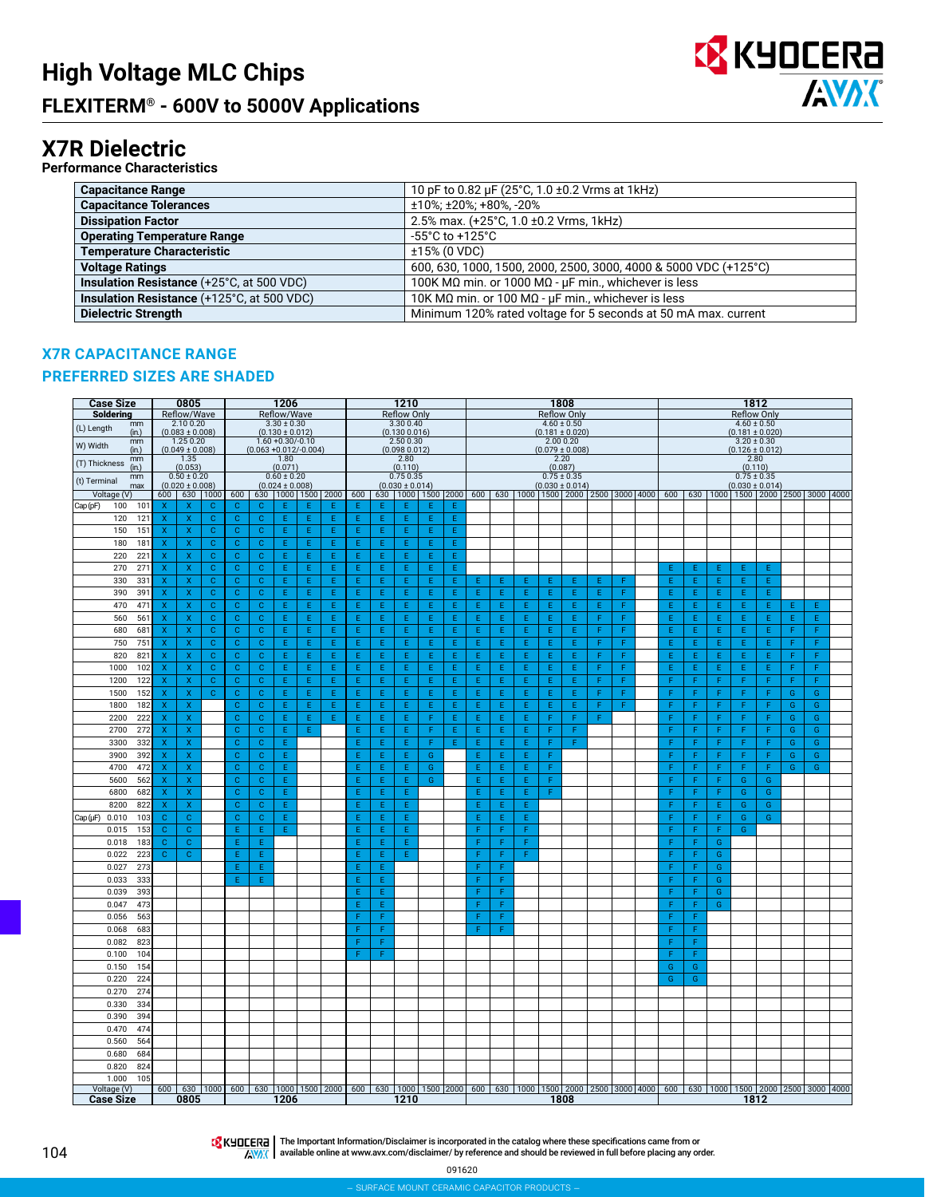

### **X7R Dielectric**

**Performance Characteristics**

| <b>Capacitance Range</b>                          | 10 pF to 0.82 µF (25°C, 1.0 ±0.2 Vrms at 1kHz)                   |
|---------------------------------------------------|------------------------------------------------------------------|
| <b>Capacitance Tolerances</b>                     | ±10%; ±20%; +80%, -20%                                           |
| <b>Dissipation Factor</b>                         | 2.5% max. (+25°C, 1.0 ±0.2 Vrms, 1kHz)                           |
| <b>Operating Temperature Range</b>                | $-55^{\circ}$ C to $+125^{\circ}$ C                              |
| <b>Temperature Characteristic</b>                 | $±15\%$ (0 VDC)                                                  |
| <b>Voltage Ratings</b>                            | 600, 630, 1000, 1500, 2000, 2500, 3000, 4000 & 5000 VDC (+125°C) |
| <b>Insulation Resistance (+25°C, at 500 VDC)</b>  | 100K MΩ min. or 1000 MΩ - μF min., whichever is less             |
| <b>Insulation Resistance (+125°C, at 500 VDC)</b> | 10K MΩ min. or 100 MΩ - $\mu$ F min., whichever is less          |
| <b>Dielectric Strength</b>                        | Minimum 120% rated voltage for 5 seconds at 50 mA max. current   |

#### **X7R CAPACITANCE RANGE**

#### **PREFERRED SIZES ARE SHADED**

| <b>Case Size</b><br>Soldering               |                                                        | 0805<br>Reflow/Wave                    |                                                                                                                                         |                             |                              | 1206<br>Reflow/Wave                         |                          |         |        |         | 1210<br><b>Reflow Only</b>       |        |        |        |        |         |   | 1808<br><b>Reflow Only</b>             |   |   |             |        |        | <b>Reflow Only</b>  | 1812                                                                                                                                       |   |               |  |
|---------------------------------------------|--------------------------------------------------------|----------------------------------------|-----------------------------------------------------------------------------------------------------------------------------------------|-----------------------------|------------------------------|---------------------------------------------|--------------------------|---------|--------|---------|----------------------------------|--------|--------|--------|--------|---------|---|----------------------------------------|---|---|-------------|--------|--------|---------------------|--------------------------------------------------------------------------------------------------------------------------------------------|---|---------------|--|
| mm<br>(L) Length                            |                                                        | 2.100.20                               |                                                                                                                                         |                             |                              | $3.30 \pm 0.30$                             |                          |         |        |         | 3.30 0.40                        |        |        |        |        |         |   | $4.60 \pm 0.50$                        |   |   |             |        |        | $4.60 \pm 0.50$     |                                                                                                                                            |   |               |  |
| (in.)<br>mm                                 |                                                        | $(0.083 \pm 0.008)$<br>1.25 0.20       |                                                                                                                                         |                             |                              | $(0.130 \pm 0.012)$<br>$1.60 + 0.30/- 0.10$ |                          |         |        |         | (0.130 0.016)<br>2.500.30        |        |        |        |        |         |   | $(0.181 \pm 0.020)$<br>2.00 0.20       |   |   |             |        |        | $3.20 \pm 0.30$     | $(0.181 \pm 0.020)$                                                                                                                        |   |               |  |
| W) Width<br>(in.)                           |                                                        | $(0.049 \pm 0.008)$                    |                                                                                                                                         |                             | $(0.063 + 0.012/-0.004)$     |                                             |                          |         |        |         | (0.098 0.012)                    |        |        |        |        |         |   | $(0.079 \pm 0.008)$                    |   |   |             |        |        | $(0.126 \pm 0.012)$ |                                                                                                                                            |   |               |  |
| mm<br>(T) Thickness<br>(in.)                |                                                        | 1.35<br>(0.053)                        |                                                                                                                                         |                             |                              | 1.80<br>(0.071)                             |                          |         |        |         | 2.80<br>(0.110)                  |        |        |        |        |         |   | 2.20<br>(0.087)                        |   |   |             |        |        | 2.80<br>(0.110)     |                                                                                                                                            |   |               |  |
| mm<br>(t) Terminal<br>max                   |                                                        | $0.50 \pm 0.20$<br>$(0.020 \pm 0.008)$ |                                                                                                                                         |                             |                              | $0.60 \pm 0.20$<br>$(0.024 \pm 0.008)$      |                          |         |        |         | 0.75 0.35<br>$(0.030 \pm 0.014)$ |        |        |        |        |         |   | $0.75 \pm 0.35$<br>$(0.030 \pm 0.014)$ |   |   |             |        |        | $0.75 \pm 0.35$     | $(0.030 \pm 0.014)$                                                                                                                        |   |               |  |
| Voltage (V)                                 |                                                        |                                        | 600 630 1000                                                                                                                            | 600                         |                              |                                             | 630   1000   1500   2000 |         | 600    |         |                                  |        |        |        |        |         |   |                                        |   |   |             |        |        |                     | 630   1000   1500   2000   600   600   630   1000   1500   2000   2500   3000   4000   600   630   1000   1500   2000   2500   3000   4000 |   |               |  |
| Cap (pF)<br>100<br>101                      | $\mathbf{x}$                                           | X                                      | $\mathbf{C}$                                                                                                                            | $\mathbf{C}$                | C                            | E                                           | E                        | Ε       | F      | E       | E                                | E      | Ε      |        |        |         |   |                                        |   |   |             |        |        |                     |                                                                                                                                            |   |               |  |
| 121<br>120                                  | $\boldsymbol{\mathsf{x}}$                              | $\mathsf X$                            | $\mathbf{C}$                                                                                                                            | $\mathbf C$                 | $\mathbf{C}$                 | Ε                                           | E                        | E.      | Ε      | E       | E                                | Ε      | E      |        |        |         |   |                                        |   |   |             |        |        |                     |                                                                                                                                            |   |               |  |
| 150<br>151                                  | X                                                      | X                                      | $\mathbf{C}$                                                                                                                            | $\mathbf C$                 | $\mathbf{C}$                 | Ε                                           | E                        | E       | E      | E       | Ė                                | E      | Ε      |        |        |         |   |                                        |   |   |             |        |        |                     |                                                                                                                                            |   |               |  |
| 180<br>181                                  | $\mathsf{x}$                                           | X                                      | $\mathbf{C}$                                                                                                                            | $\mathbf{C}$                | $\mathbf{C}$                 | Ε                                           | Ε                        | E.      | Ε      | E.      | E                                | Ε      | E      |        |        |         |   |                                        |   |   |             |        |        |                     |                                                                                                                                            |   |               |  |
| 220<br>22<br>270                            | $\boldsymbol{\mathsf{x}}$<br>$\boldsymbol{\mathsf{x}}$ | $\mathsf X$<br>$\mathsf X$             | $\mathbf{C}$<br>$\mathbf{C}$                                                                                                            | $\mathbf{C}$<br>$\mathbf C$ | $\mathbf{C}$<br>$\mathbf{C}$ | Ε<br>Ε                                      | E.<br>E                  | E.<br>E | E<br>E | E.<br>E | E<br>E                           | E<br>Ε | E<br>Ε |        |        |         |   |                                        |   |   |             |        |        |                     |                                                                                                                                            |   |               |  |
| 27'<br>330<br>331                           | x                                                      | X                                      | $\mathbf{C}$                                                                                                                            | $\mathbf C$                 | $\mathbf{C}$                 | Ε                                           | Ε                        | Ė.      | E      | Ε       | E                                | Ε      | Ε      | E      | Ε      | Ε       | E | Ε                                      | Ε | F | Ε<br>Ε      | Ε<br>Ε | Ε<br>E | Ε<br>Ε              | Ε<br>E                                                                                                                                     |   |               |  |
| 390<br>391                                  | X                                                      | X                                      | $\mathbf{C}$                                                                                                                            | $\mathbf{C}$                | $\mathbf{C}$                 | Ε                                           | E.                       | E.      | E      | E.      | E                                | E      | E.     | E.     | E      | E.      | E | E.                                     | Ε | F | E           | E      | E      | E.                  | E                                                                                                                                          |   |               |  |
| 470<br>471                                  | $\boldsymbol{\mathsf{x}}$                              | $\mathsf X$                            | $\mathbf{C}$                                                                                                                            | $\mathbf{C}$                | $\mathbf{C}$                 | Ε                                           | Ε                        | E.      | E      | E       | E                                | E      | E      | E      | E      | E       | Ε | E.                                     | Ε | F | Ε           | E      | E      | Ε                   | E.                                                                                                                                         | F | E.            |  |
| 560<br>561                                  | x                                                      | $\mathsf X$                            | $\mathbf{C}$                                                                                                                            | $\mathbf C$                 | $\mathbf{C}$                 | Ε                                           | Ε                        | E.      | E      | Ε       | E                                | Ε      | Ε      | Ε      | E      | E.      | E | E.                                     | F | F | Ε           | E      | E      | Ε                   | E.                                                                                                                                         | Ε | Ε             |  |
| 680<br>68                                   | X                                                      | x                                      | $\mathbf{C}$                                                                                                                            | $\mathbf C$                 | $\mathbf{C}$                 | E                                           | E                        | Ė       | E      | Ė       | Ė                                | Ε      | E      | Ė      | Ė      | Ė       | Ė | E                                      | F | F | E           | Ė      | Ė      | Ε                   | E                                                                                                                                          | F | F             |  |
| 750<br>75                                   | $\overline{\mathsf{x}}$                                | $\mathsf X$                            | $\mathbf{C}$                                                                                                                            | $\mathbf{C}$                | $\mathbf{C}$                 | E                                           | E                        | E.      | E      | E.      | E                                | E      | E      | E.     | E.     | E.      | E | E.                                     | F | F | E           | E      | E      | E.                  | E.                                                                                                                                         | F | F             |  |
| 820<br>821                                  | X                                                      | $\mathsf X$                            | $\mathbf{C}$                                                                                                                            | $\mathbf{C}$                | $\mathbf{C}$                 | E                                           | E                        | Ė.      | E      | E       | E                                | E      | E      | E.     | E.     | E       | E | E.                                     | F | F | E           | E      | E      | E                   | E                                                                                                                                          | F | F             |  |
| 1000<br>102                                 | $\overline{\mathsf{x}}$                                | $\bar{\mathsf{X}}$                     | $\mathbf{C}$                                                                                                                            | $\mathbf{C}$                | $\mathbf{C}$                 | E                                           | E                        | Ė       | E      | E       | Ė                                | E      | E      | E      | E      | Ė       | Ė | E.                                     | F | F | Ė           | Ė      | Ė      | E                   | Ė                                                                                                                                          | F | F             |  |
| 1200<br>122                                 | $\boldsymbol{\mathsf{x}}$                              | X                                      | $\mathbf{C}$                                                                                                                            | $\mathbf{C}$                | $\mathbf{C}$                 | Ε                                           | E                        | Ė.      | Ε      | E       | E                                | Ε      | Ε      | Ε      | Ε      | E       | Ε | Ε                                      | F | F | F           | F      | F      | F                   | F                                                                                                                                          | F | F             |  |
| 1500<br>152                                 | X                                                      | $\mathsf{X}$                           | $\mathbf{C}$                                                                                                                            | $\mathbf{C}$                | $\mathbf{C}$                 | E.                                          | E.                       | E.      | E      | E.      | E.                               | E.     | E.     | E.     | E.     | E.      | E | E.                                     | F | F | F           | F      | F.     | F.                  | F                                                                                                                                          | G | G             |  |
| 1800<br>182                                 | $\mathsf X$                                            | X                                      |                                                                                                                                         | $\mathbf C$                 | $\mathbf{C}$                 | E                                           | E                        | E       | E      | E       | E                                | E      | E      | E.     | E      | E       | E | E.                                     | F | F | F           | F      | F      | F                   | F                                                                                                                                          | G | G             |  |
| 2200<br>222                                 | $\boldsymbol{\mathsf{x}}$                              | $\mathsf X$                            |                                                                                                                                         | $\mathbf C$                 | $\mathbf{C}$                 | E                                           | E                        | E       | E      | E       | E                                | F      | E      | E.     | E      | Ė.      | F | F.                                     | F |   | F           | F      | F      | F                   | F                                                                                                                                          | G | G             |  |
| 272<br>2700                                 | X                                                      | X                                      |                                                                                                                                         | $\mathbf{C}$                | $\mathbf{C}$                 | E                                           | E                        |         | E      | E       | Ė                                | F      | E      | E      | E      | Ė       | F | F                                      |   |   | F           | F      | F      | F                   | F                                                                                                                                          | G | G             |  |
| 3300<br>332                                 | $\boldsymbol{\mathsf{X}}$                              | $\mathsf X$                            |                                                                                                                                         | $\mathbf{C}$                | $\mathbf{C}$                 | Ε                                           |                          |         | E      | E.      | E                                | F      | E.     | E.     | E      | E.      | F | F.                                     |   |   | F           | F      | F      | F.                  | F                                                                                                                                          | G | G             |  |
| 3900<br>392                                 | Χ                                                      | X                                      |                                                                                                                                         | $\mathbf C$                 | $\mathbf{C}$                 | E                                           |                          |         | E      | Ε       | E                                | G      |        | E      | Ε      | E       | F |                                        |   |   | F           | F      | F      | F                   | F                                                                                                                                          | G | ${\mathsf G}$ |  |
| 4700<br>472                                 | $\overline{\mathsf{x}}$                                | X                                      |                                                                                                                                         | $\mathbf{C}$                | $\mathbf{C}$                 | E                                           |                          |         | E      | E       | Ė                                | G      |        | E      | E      | Ė       | F |                                        |   |   | F           | F      | F      | F                   | Ë                                                                                                                                          | G | G             |  |
| 5600<br>562                                 | x                                                      | $\boldsymbol{\mathsf{x}}$              |                                                                                                                                         | $\mathbf C$                 | $\mathbf{C}$                 | Ε                                           |                          |         | Ε      | Ε       | E                                | G      |        | Ε      | Ε      | E.      | F |                                        |   |   | F<br>F      | F      | F      | G                   | G                                                                                                                                          |   |               |  |
| 6800<br>682                                 | X<br>$\mathsf X$                                       | $\mathsf X$<br>X                       |                                                                                                                                         | $\mathbf{C}$<br>$\mathbf C$ | $\mathbf{C}$<br>$\mathbf{C}$ | Ε<br>E                                      |                          |         | E<br>E | E.<br>E | E<br>E                           |        |        | E<br>E | E<br>E | E.<br>E | F |                                        |   |   | $\mathsf F$ | F<br>F | F<br>E | G                   | G<br>G                                                                                                                                     |   |               |  |
| 8200<br>822<br>$Cap(\mu F)$<br>0.010<br>103 | c                                                      | $\mathbf C$                            |                                                                                                                                         | $\mathbf C$                 | $\mathbf{C}$                 | E                                           |                          |         | E      | E       | E                                |        |        | E      | E      | E       |   |                                        |   |   | F           | F      | F      | G<br>G              | G                                                                                                                                          |   |               |  |
| 0.015<br>153                                | c                                                      | $\mathbf C$                            |                                                                                                                                         | E                           | E                            | E                                           |                          |         | F      | F       | E                                |        |        | F      | Ë      | Ë       |   |                                        |   |   | F           | F      | F      | G                   |                                                                                                                                            |   |               |  |
| 0.018<br>183                                | $\mathbf C$                                            | $\mathbf{C}$                           |                                                                                                                                         | E                           | E                            |                                             |                          |         | E      | E       | E                                |        |        | F      | F      | F       |   |                                        |   |   | F           | F      | G      |                     |                                                                                                                                            |   |               |  |
| 0.022<br>223                                | $\mathbf{C}$                                           | $\mathbf C$                            |                                                                                                                                         | F                           | E                            |                                             |                          |         | F      | F       | E                                |        |        | F      | F      | F       |   |                                        |   |   | F           | F      | G      |                     |                                                                                                                                            |   |               |  |
| 273<br>0.027                                |                                                        |                                        |                                                                                                                                         | E                           | E                            |                                             |                          |         | E      | E       |                                  |        |        | F      | F      |         |   |                                        |   |   | F           | F      | G      |                     |                                                                                                                                            |   |               |  |
| 0.033<br>333                                |                                                        |                                        |                                                                                                                                         | E                           | E                            |                                             |                          |         | Ε      | Ε       |                                  |        |        | F      | F      |         |   |                                        |   |   | F           | F      | G      |                     |                                                                                                                                            |   |               |  |
| 0.039<br>393                                |                                                        |                                        |                                                                                                                                         |                             |                              |                                             |                          |         | E      | E.      |                                  |        |        | F      | F      |         |   |                                        |   |   | F           | F      | G      |                     |                                                                                                                                            |   |               |  |
| 0.047<br>473                                |                                                        |                                        |                                                                                                                                         |                             |                              |                                             |                          |         | E      | Ε       |                                  |        |        | F      | F      |         |   |                                        |   |   | F           | F      | G      |                     |                                                                                                                                            |   |               |  |
| 0.056<br>563                                |                                                        |                                        |                                                                                                                                         |                             |                              |                                             |                          |         | F      | F       |                                  |        |        | F      | F      |         |   |                                        |   |   | F           | F      |        |                     |                                                                                                                                            |   |               |  |
| 0.068<br>683                                |                                                        |                                        |                                                                                                                                         |                             |                              |                                             |                          |         | F      |         |                                  |        |        | F      | Ë      |         |   |                                        |   |   | F           |        |        |                     |                                                                                                                                            |   |               |  |
| 0.082<br>823                                |                                                        |                                        |                                                                                                                                         |                             |                              |                                             |                          |         | F      | F       |                                  |        |        |        |        |         |   |                                        |   |   | F           | F      |        |                     |                                                                                                                                            |   |               |  |
| 0.100<br>104                                |                                                        |                                        |                                                                                                                                         |                             |                              |                                             |                          |         | F      | F       |                                  |        |        |        |        |         |   |                                        |   |   | F           | F      |        |                     |                                                                                                                                            |   |               |  |
| 0.150<br>154                                |                                                        |                                        |                                                                                                                                         |                             |                              |                                             |                          |         |        |         |                                  |        |        |        |        |         |   |                                        |   |   | G           | G      |        |                     |                                                                                                                                            |   |               |  |
| 224<br>0.220                                |                                                        |                                        |                                                                                                                                         |                             |                              |                                             |                          |         |        |         |                                  |        |        |        |        |         |   |                                        |   |   | G           | G      |        |                     |                                                                                                                                            |   |               |  |
| 0.270<br>274                                |                                                        |                                        |                                                                                                                                         |                             |                              |                                             |                          |         |        |         |                                  |        |        |        |        |         |   |                                        |   |   |             |        |        |                     |                                                                                                                                            |   |               |  |
| 0.330<br>334                                |                                                        |                                        |                                                                                                                                         |                             |                              |                                             |                          |         |        |         |                                  |        |        |        |        |         |   |                                        |   |   |             |        |        |                     |                                                                                                                                            |   |               |  |
| 0.390<br>394<br>474<br>0.470                |                                                        |                                        |                                                                                                                                         |                             |                              |                                             |                          |         |        |         |                                  |        |        |        |        |         |   |                                        |   |   |             |        |        |                     |                                                                                                                                            |   |               |  |
| 0.560<br>564                                |                                                        |                                        |                                                                                                                                         |                             |                              |                                             |                          |         |        |         |                                  |        |        |        |        |         |   |                                        |   |   |             |        |        |                     |                                                                                                                                            |   |               |  |
| 0.680<br>684                                |                                                        |                                        |                                                                                                                                         |                             |                              |                                             |                          |         |        |         |                                  |        |        |        |        |         |   |                                        |   |   |             |        |        |                     |                                                                                                                                            |   |               |  |
| 0.820<br>824                                |                                                        |                                        |                                                                                                                                         |                             |                              |                                             |                          |         |        |         |                                  |        |        |        |        |         |   |                                        |   |   |             |        |        |                     |                                                                                                                                            |   |               |  |
| 1.000<br>105                                |                                                        |                                        |                                                                                                                                         |                             |                              |                                             |                          |         |        |         |                                  |        |        |        |        |         |   |                                        |   |   |             |        |        |                     |                                                                                                                                            |   |               |  |
| Voltage (V)                                 |                                                        |                                        | 600 630 1000 600 630 1000 1500 2000 600 630 1000 1500 2000 600 630 1000 1500 2000 2500 3000 4000 600 630 1000 1500 2000 2500 3000 14000 |                             |                              |                                             |                          |         |        |         |                                  |        |        |        |        |         |   |                                        |   |   |             |        |        |                     |                                                                                                                                            |   |               |  |
| <b>Case Size</b>                            |                                                        | 0805                                   |                                                                                                                                         |                             |                              | 1206                                        |                          |         |        |         | 1210                             |        |        |        |        |         |   | 1808                                   |   |   |             |        |        | 1812                |                                                                                                                                            |   |               |  |

The Important Information/Disclaimer is incorporated in the catalog where these specifications came from or available online at [www.avx.com/disclaimer/](http://www.avx.com/disclaimer/) by reference and should be reviewed in full before placing any order.

091620